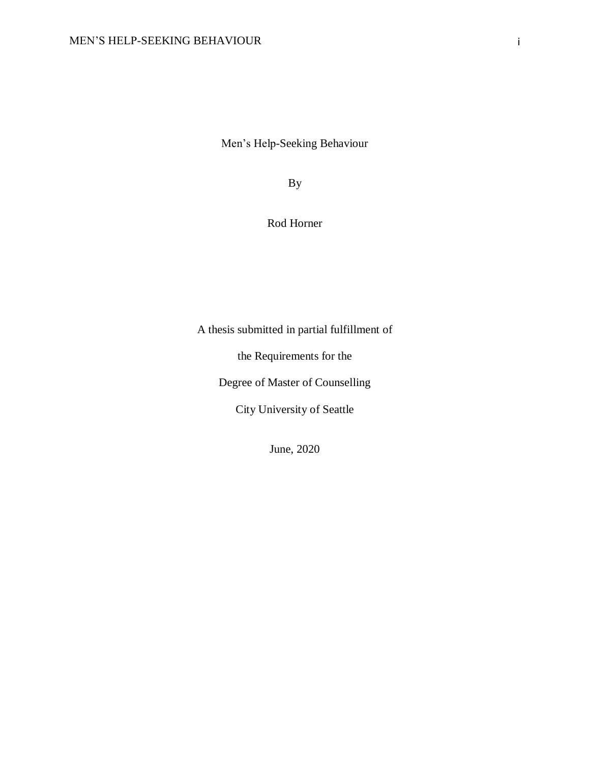Men's Help-Seeking Behaviour

By

# Rod Horner

A thesis submitted in partial fulfillment of

the Requirements for the

Degree of Master of Counselling

City University of Seattle

June, 2020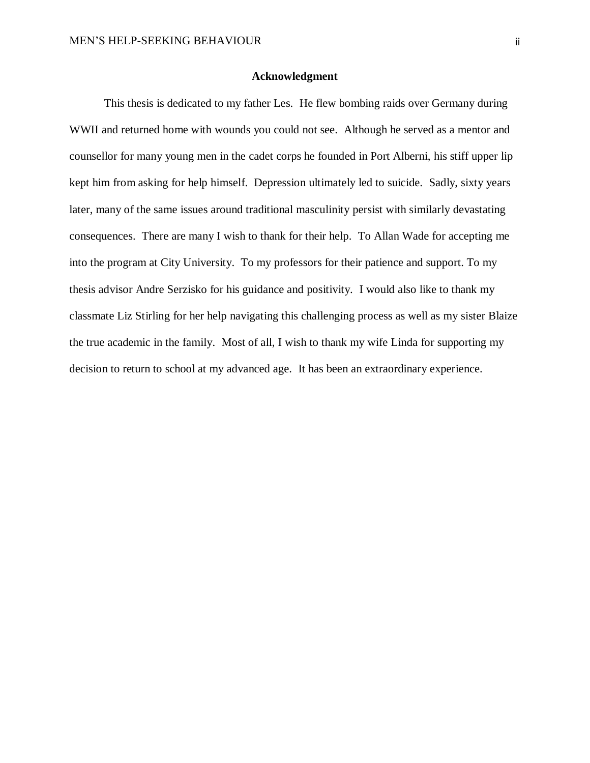#### **Acknowledgment**

<span id="page-1-0"></span>This thesis is dedicated to my father Les. He flew bombing raids over Germany during WWII and returned home with wounds you could not see. Although he served as a mentor and counsellor for many young men in the cadet corps he founded in Port Alberni, his stiff upper lip kept him from asking for help himself. Depression ultimately led to suicide. Sadly, sixty years later, many of the same issues around traditional masculinity persist with similarly devastating consequences. There are many I wish to thank for their help. To Allan Wade for accepting me into the program at City University. To my professors for their patience and support. To my thesis advisor Andre Serzisko for his guidance and positivity. I would also like to thank my classmate Liz Stirling for her help navigating this challenging process as well as my sister Blaize the true academic in the family. Most of all, I wish to thank my wife Linda for supporting my decision to return to school at my advanced age. It has been an extraordinary experience.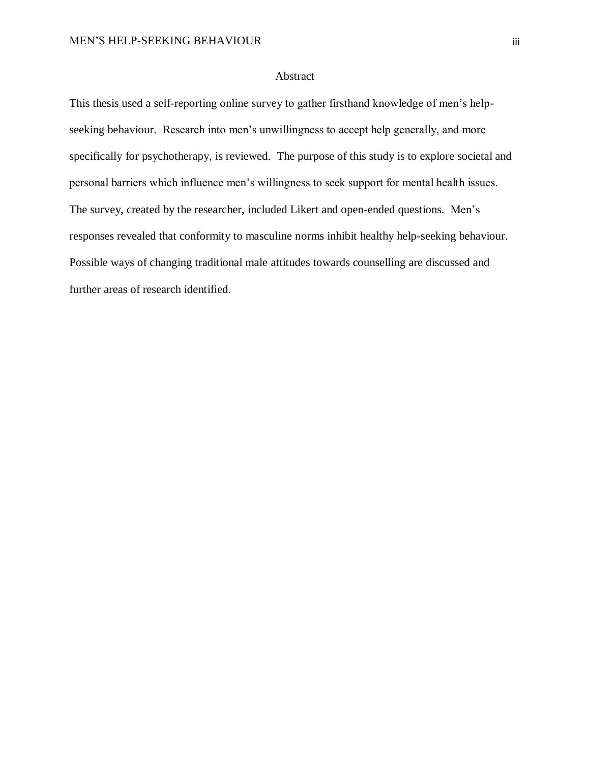# Abstract

<span id="page-2-0"></span>This thesis used a self-reporting online survey to gather firsthand knowledge of men's helpseeking behaviour. Research into men's unwillingness to accept help generally, and more specifically for psychotherapy, is reviewed. The purpose of this study is to explore societal and personal barriers which influence men's willingness to seek support for mental health issues. The survey, created by the researcher, included Likert and open-ended questions. Men's responses revealed that conformity to masculine norms inhibit healthy help-seeking behaviour. Possible ways of changing traditional male attitudes towards counselling are discussed and further areas of research identified.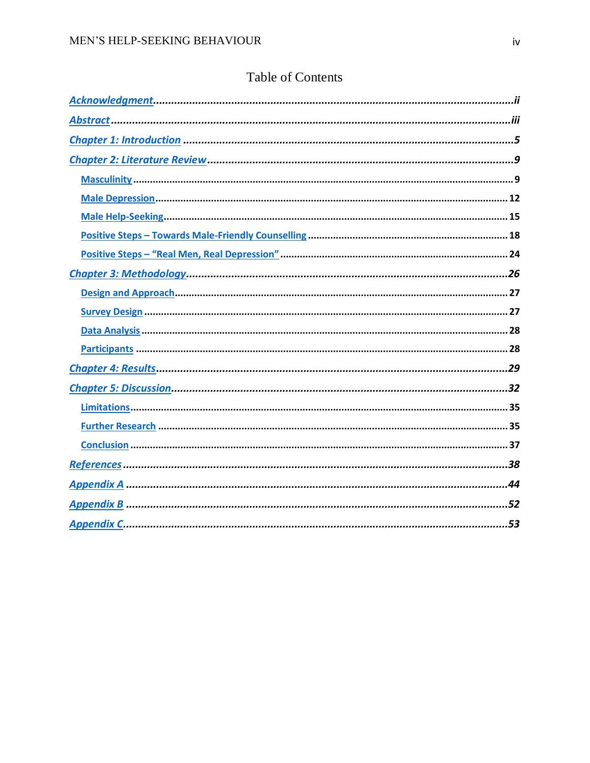|  | <b>Table of Contents</b> |
|--|--------------------------|
|  |                          |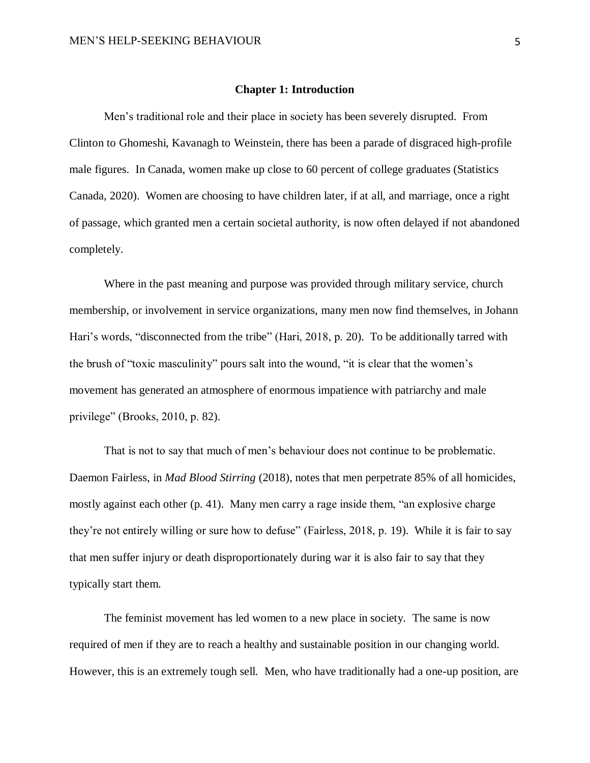#### **Chapter 1: Introduction**

<span id="page-4-0"></span>Men's traditional role and their place in society has been severely disrupted. From Clinton to Ghomeshi, Kavanagh to Weinstein, there has been a parade of disgraced high-profile male figures. In Canada, women make up close to 60 percent of college graduates (Statistics Canada, 2020). Women are choosing to have children later, if at all, and marriage, once a right of passage, which granted men a certain societal authority, is now often delayed if not abandoned completely.

Where in the past meaning and purpose was provided through military service, church membership, or involvement in service organizations, many men now find themselves, in Johann Hari's words, "disconnected from the tribe" (Hari, 2018, p. 20). To be additionally tarred with the brush of "toxic masculinity" pours salt into the wound, "it is clear that the women's movement has generated an atmosphere of enormous impatience with patriarchy and male privilege" (Brooks, 2010, p. 82).

That is not to say that much of men's behaviour does not continue to be problematic. Daemon Fairless, in *Mad Blood Stirring* (2018), notes that men perpetrate 85% of all homicides, mostly against each other (p. 41). Many men carry a rage inside them, "an explosive charge they're not entirely willing or sure how to defuse" (Fairless, 2018, p. 19). While it is fair to say that men suffer injury or death disproportionately during war it is also fair to say that they typically start them.

The feminist movement has led women to a new place in society. The same is now required of men if they are to reach a healthy and sustainable position in our changing world. However, this is an extremely tough sell. Men, who have traditionally had a one-up position, are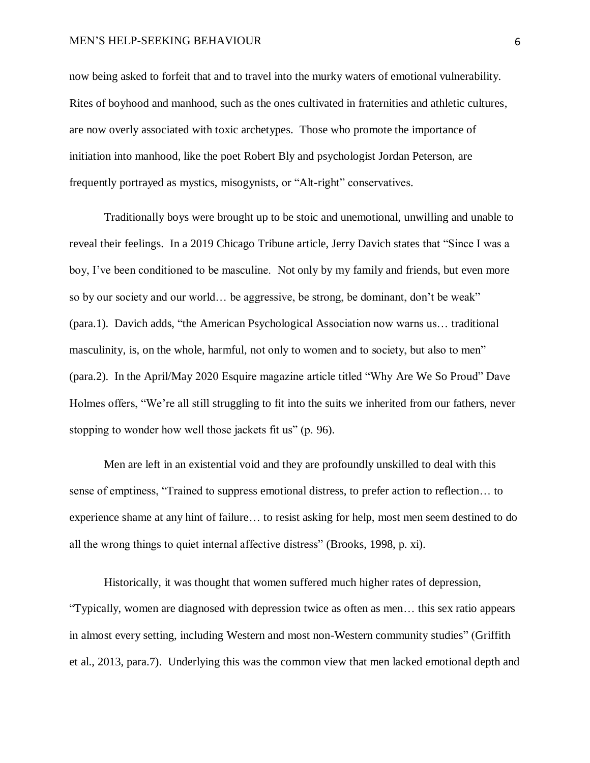#### MEN'S HELP-SEEKING BEHAVIOUR 6

now being asked to forfeit that and to travel into the murky waters of emotional vulnerability. Rites of boyhood and manhood, such as the ones cultivated in fraternities and athletic cultures, are now overly associated with toxic archetypes. Those who promote the importance of initiation into manhood, like the poet Robert Bly and psychologist Jordan Peterson, are frequently portrayed as mystics, misogynists, or "Alt-right" conservatives.

Traditionally boys were brought up to be stoic and unemotional, unwilling and unable to reveal their feelings. In a 2019 Chicago Tribune article, Jerry Davich states that "Since I was a boy, I've been conditioned to be masculine. Not only by my family and friends, but even more so by our society and our world… be aggressive, be strong, be dominant, don't be weak" (para.1). Davich adds, "the American Psychological Association now warns us… traditional masculinity, is, on the whole, harmful, not only to women and to society, but also to men" (para.2). In the April/May 2020 Esquire magazine article titled "Why Are We So Proud" Dave Holmes offers, "We're all still struggling to fit into the suits we inherited from our fathers, never stopping to wonder how well those jackets fit us" (p. 96).

Men are left in an existential void and they are profoundly unskilled to deal with this sense of emptiness, "Trained to suppress emotional distress, to prefer action to reflection… to experience shame at any hint of failure… to resist asking for help, most men seem destined to do all the wrong things to quiet internal affective distress" (Brooks, 1998, p. xi).

Historically, it was thought that women suffered much higher rates of depression, "Typically, women are diagnosed with depression twice as often as men… this sex ratio appears in almost every setting, including Western and most non-Western community studies" (Griffith et al., 2013, para.7). Underlying this was the common view that men lacked emotional depth and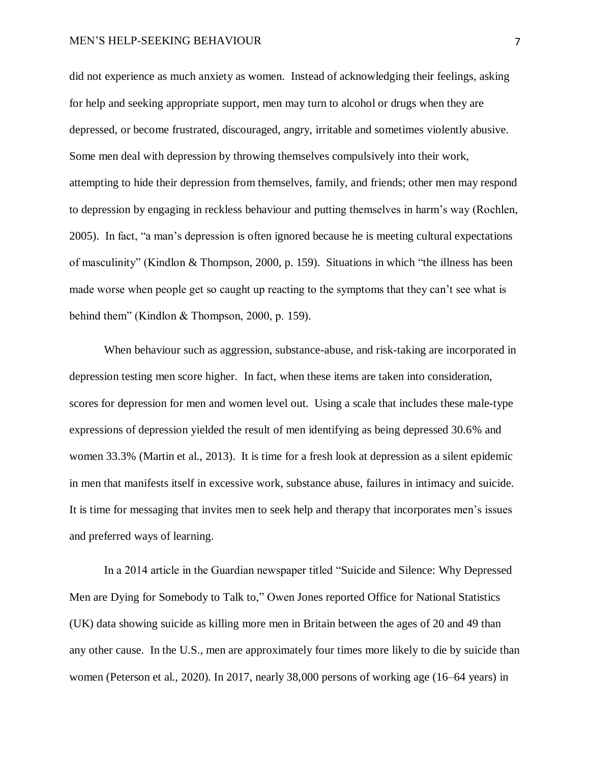#### MEN'S HELP-SEEKING BEHAVIOUR 7

did not experience as much anxiety as women. Instead of acknowledging their feelings, asking for help and seeking appropriate support, men may turn to alcohol or drugs when they are depressed, or become frustrated, discouraged, angry, irritable and sometimes violently abusive. Some men deal with depression by throwing themselves compulsively into their work, attempting to hide their depression from themselves, family, and friends; other men may respond to depression by engaging in reckless behaviour and putting themselves in harm's way (Rochlen, 2005). In fact, "a man's depression is often ignored because he is meeting cultural expectations of masculinity" (Kindlon & Thompson, 2000, p. 159). Situations in which "the illness has been made worse when people get so caught up reacting to the symptoms that they can't see what is behind them" (Kindlon & Thompson, 2000, p. 159).

When behaviour such as aggression, substance-abuse, and risk-taking are incorporated in depression testing men score higher. In fact, when these items are taken into consideration, scores for depression for men and women level out. Using a scale that includes these male-type expressions of depression yielded the result of men identifying as being depressed 30.6% and women 33.3% (Martin et al., 2013). It is time for a fresh look at depression as a silent epidemic in men that manifests itself in excessive work, substance abuse, failures in intimacy and suicide. It is time for messaging that invites men to seek help and therapy that incorporates men's issues and preferred ways of learning.

In a 2014 article in the Guardian newspaper titled "Suicide and Silence: Why Depressed Men are Dying for Somebody to Talk to," Owen Jones reported Office for National Statistics (UK) data showing suicide as killing more men in Britain between the ages of 20 and 49 than any other cause. In the U.S., men are approximately four times more likely to die by suicide than women (Peterson et al., 2020). In 2017, nearly 38,000 persons of working age (16–64 years) in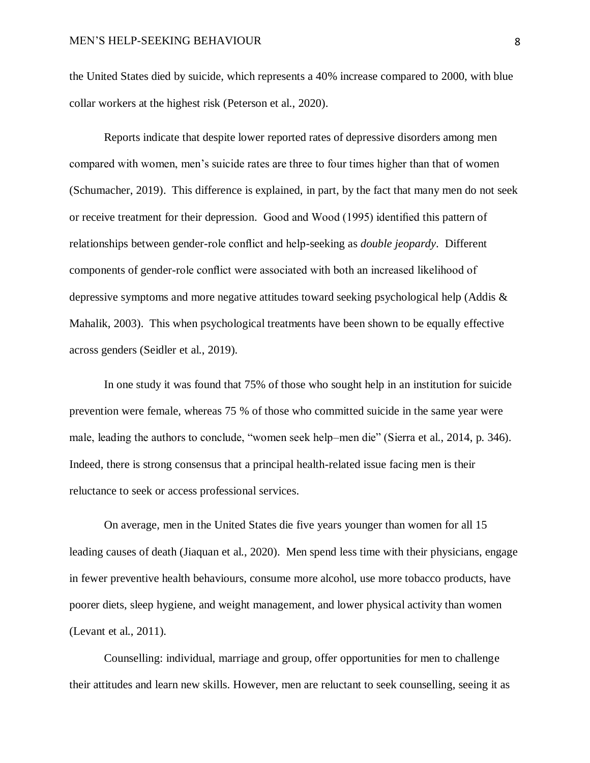the United States died by suicide, which represents a 40% increase compared to 2000, with blue collar workers at the highest risk (Peterson et al., 2020).

Reports indicate that despite lower reported rates of depressive disorders among men compared with women, men's suicide rates are three to four times higher than that of women (Schumacher, 2019). This difference is explained, in part, by the fact that many men do not seek or receive treatment for their depression. Good and Wood (1995) identified this pattern of relationships between gender-role conflict and help-seeking as *double jeopardy*. Different components of gender-role conflict were associated with both an increased likelihood of depressive symptoms and more negative attitudes toward seeking psychological help (Addis & Mahalik, 2003). This when psychological treatments have been shown to be equally effective across genders (Seidler et al., 2019).

In one study it was found that 75% of those who sought help in an institution for suicide prevention were female, whereas 75 % of those who committed suicide in the same year were male, leading the authors to conclude, "women seek help–men die" (Sierra et al., 2014, p. 346). Indeed, there is strong consensus that a principal health-related issue facing men is their reluctance to seek or access professional services.

On average, men in the United States die five years younger than women for all 15 leading causes of death (Jiaquan et al., 2020). Men spend less time with their physicians, engage in fewer preventive health behaviours, consume more alcohol, use more tobacco products, have poorer diets, sleep hygiene, and weight management, and lower physical activity than women (Levant et al., 2011).

Counselling: individual, marriage and group, offer opportunities for men to challenge their attitudes and learn new skills. However, men are reluctant to seek counselling, seeing it as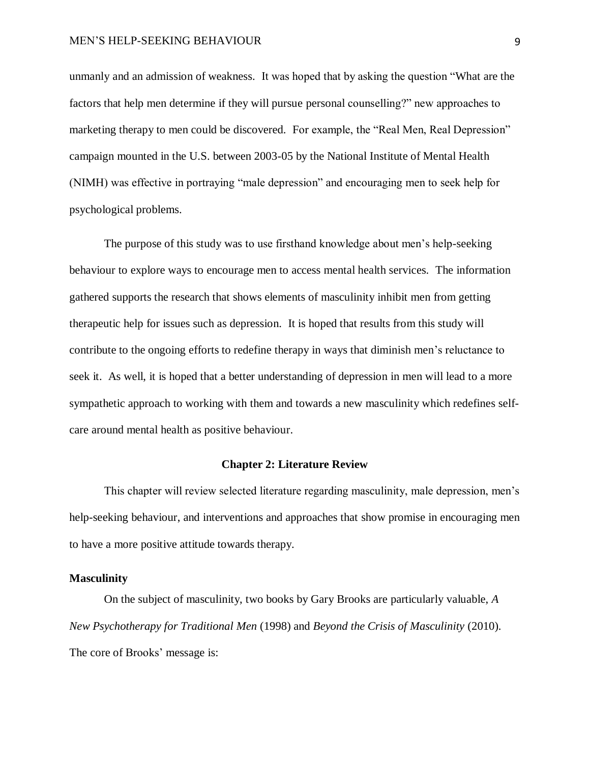unmanly and an admission of weakness. It was hoped that by asking the question "What are the factors that help men determine if they will pursue personal counselling?" new approaches to marketing therapy to men could be discovered. For example, the "Real Men, Real Depression" campaign mounted in the U.S. between 2003-05 by the National Institute of Mental Health (NIMH) was effective in portraying "male depression" and encouraging men to seek help for psychological problems.

The purpose of this study was to use firsthand knowledge about men's help-seeking behaviour to explore ways to encourage men to access mental health services. The information gathered supports the research that shows elements of masculinity inhibit men from getting therapeutic help for issues such as depression. It is hoped that results from this study will contribute to the ongoing efforts to redefine therapy in ways that diminish men's reluctance to seek it. As well, it is hoped that a better understanding of depression in men will lead to a more sympathetic approach to working with them and towards a new masculinity which redefines selfcare around mental health as positive behaviour.

#### **Chapter 2: Literature Review**

<span id="page-8-0"></span>This chapter will review selected literature regarding masculinity, male depression, men's help-seeking behaviour, and interventions and approaches that show promise in encouraging men to have a more positive attitude towards therapy.

### <span id="page-8-1"></span>**Masculinity**

On the subject of masculinity, two books by Gary Brooks are particularly valuable, *A New Psychotherapy for Traditional Men* (1998) and *Beyond the Crisis of Masculinity* (2010). The core of Brooks' message is: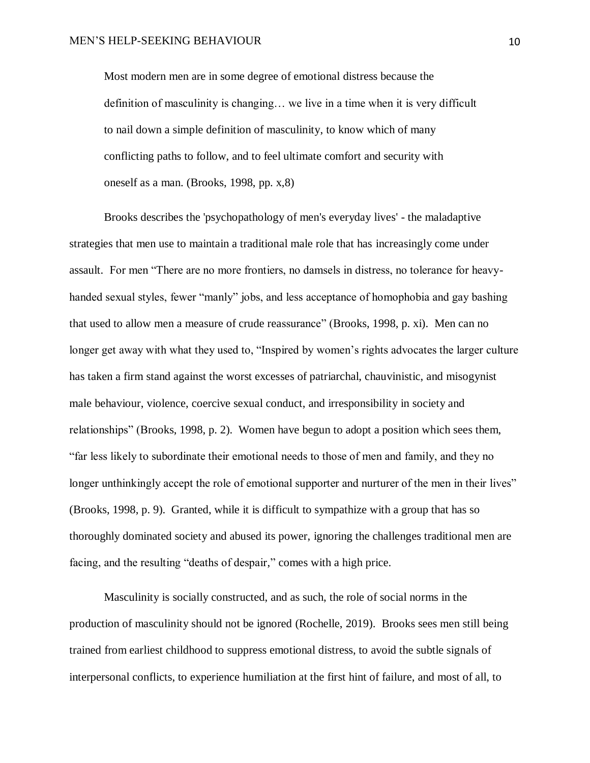Most modern men are in some degree of emotional distress because the definition of masculinity is changing… we live in a time when it is very difficult to nail down a simple definition of masculinity, to know which of many conflicting paths to follow, and to feel ultimate comfort and security with oneself as a man. (Brooks, 1998, pp. x,8)

Brooks describes the 'psychopathology of men's everyday lives' - the maladaptive strategies that men use to maintain a traditional male role that has increasingly come under assault. For men "There are no more frontiers, no damsels in distress, no tolerance for heavyhanded sexual styles, fewer "manly" jobs, and less acceptance of homophobia and gay bashing that used to allow men a measure of crude reassurance" (Brooks, 1998, p. xi). Men can no longer get away with what they used to, "Inspired by women's rights advocates the larger culture has taken a firm stand against the worst excesses of patriarchal, chauvinistic, and misogynist male behaviour, violence, coercive sexual conduct, and irresponsibility in society and relationships" (Brooks, 1998, p. 2). Women have begun to adopt a position which sees them, "far less likely to subordinate their emotional needs to those of men and family, and they no longer unthinkingly accept the role of emotional supporter and nurturer of the men in their lives" (Brooks, 1998, p. 9). Granted, while it is difficult to sympathize with a group that has so thoroughly dominated society and abused its power, ignoring the challenges traditional men are facing, and the resulting "deaths of despair," comes with a high price.

Masculinity is socially constructed, and as such, the role of social norms in the production of masculinity should not be ignored (Rochelle, 2019). Brooks sees men still being trained from earliest childhood to suppress emotional distress, to avoid the subtle signals of interpersonal conflicts, to experience humiliation at the first hint of failure, and most of all, to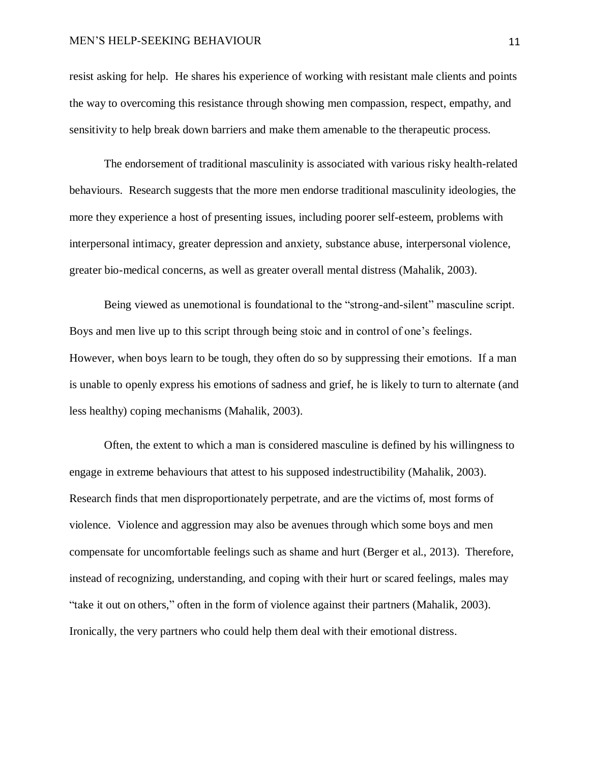#### MEN'S HELP-SEEKING BEHAVIOUR 11

resist asking for help. He shares his experience of working with resistant male clients and points the way to overcoming this resistance through showing men compassion, respect, empathy, and sensitivity to help break down barriers and make them amenable to the therapeutic process.

The endorsement of traditional masculinity is associated with various risky health-related behaviours. Research suggests that the more men endorse traditional masculinity ideologies, the more they experience a host of presenting issues, including poorer self-esteem, problems with interpersonal intimacy, greater depression and anxiety, substance abuse, interpersonal violence, greater bio-medical concerns, as well as greater overall mental distress (Mahalik, 2003).

Being viewed as unemotional is foundational to the "strong-and-silent" masculine script. Boys and men live up to this script through being stoic and in control of one's feelings. However, when boys learn to be tough, they often do so by suppressing their emotions. If a man is unable to openly express his emotions of sadness and grief, he is likely to turn to alternate (and less healthy) coping mechanisms (Mahalik, 2003).

Often, the extent to which a man is considered masculine is defined by his willingness to engage in extreme behaviours that attest to his supposed indestructibility (Mahalik, 2003). Research finds that men disproportionately perpetrate, and are the victims of, most forms of violence. Violence and aggression may also be avenues through which some boys and men compensate for uncomfortable feelings such as shame and hurt (Berger et al., 2013). Therefore, instead of recognizing, understanding, and coping with their hurt or scared feelings, males may "take it out on others," often in the form of violence against their partners (Mahalik, 2003). Ironically, the very partners who could help them deal with their emotional distress.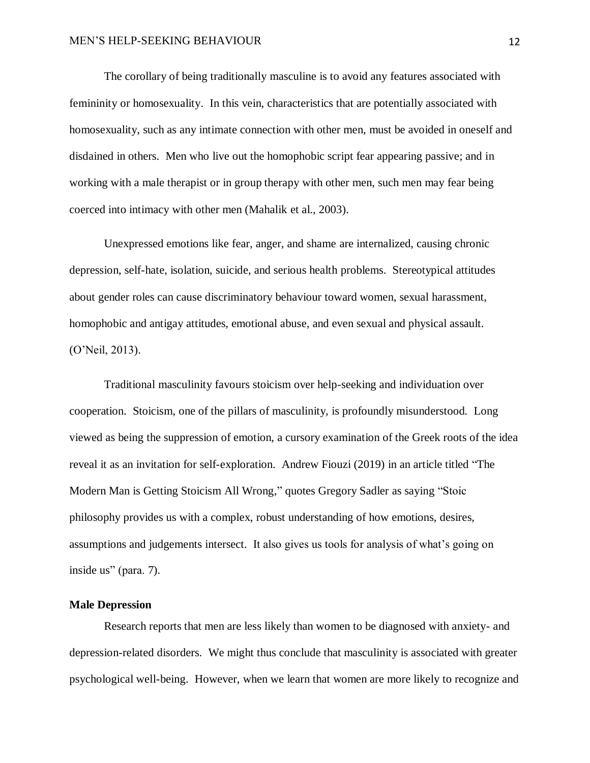The corollary of being traditionally masculine is to avoid any features associated with femininity or homosexuality. In this vein, characteristics that are potentially associated with homosexuality, such as any intimate connection with other men, must be avoided in oneself and disdained in others. Men who live out the homophobic script fear appearing passive; and in working with a male therapist or in group therapy with other men, such men may fear being coerced into intimacy with other men (Mahalik et al., 2003).

Unexpressed emotions like fear, anger, and shame are internalized, causing chronic depression, self-hate, isolation, suicide, and serious health problems. Stereotypical attitudes about gender roles can cause discriminatory behaviour toward women, sexual harassment, homophobic and antigay attitudes, emotional abuse, and even sexual and physical assault. (O'Neil, 2013).

Traditional masculinity favours stoicism over help-seeking and individuation over cooperation. Stoicism, one of the pillars of masculinity, is profoundly misunderstood. Long viewed as being the suppression of emotion, a cursory examination of the Greek roots of the idea reveal it as an invitation for self-exploration. Andrew Fiouzi (2019) in an article titled "The Modern Man is Getting Stoicism All Wrong," quotes Gregory Sadler as saying "Stoic philosophy provides us with a complex, robust understanding of how emotions, desires, assumptions and judgements intersect. It also gives us tools for analysis of what's going on inside us" (para. 7).

# <span id="page-11-0"></span>**Male Depression**

Research reports that men are less likely than women to be diagnosed with anxiety- and depression-related disorders. We might thus conclude that masculinity is associated with greater psychological well-being. However, when we learn that women are more likely to recognize and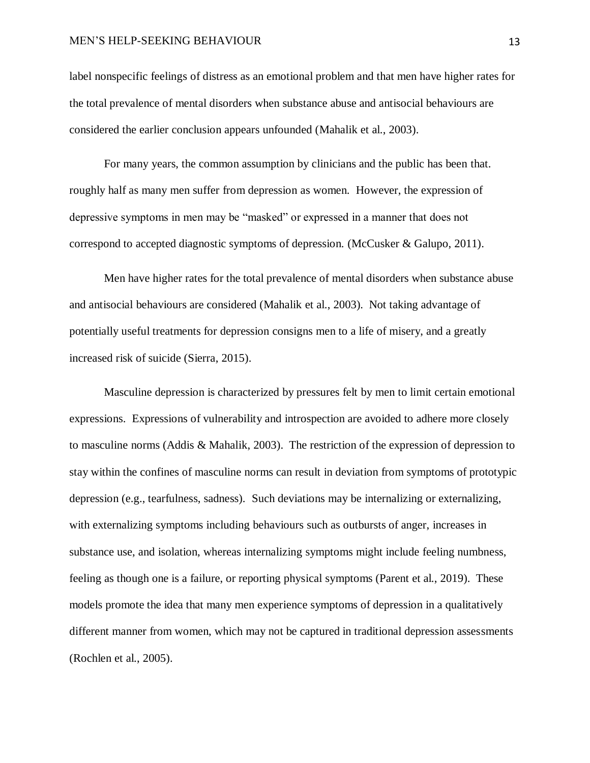#### MEN'S HELP-SEEKING BEHAVIOUR 13

label nonspecific feelings of distress as an emotional problem and that men have higher rates for the total prevalence of mental disorders when substance abuse and antisocial behaviours are considered the earlier conclusion appears unfounded (Mahalik et al., 2003).

For many years, the common assumption by clinicians and the public has been that. roughly half as many men suffer from depression as women. However, the expression of depressive symptoms in men may be "masked" or expressed in a manner that does not correspond to accepted diagnostic symptoms of depression. (McCusker & Galupo, 2011).

Men have higher rates for the total prevalence of mental disorders when substance abuse and antisocial behaviours are considered (Mahalik et al., 2003). Not taking advantage of potentially useful treatments for depression consigns men to a life of misery, and a greatly increased risk of suicide (Sierra, 2015).

Masculine depression is characterized by pressures felt by men to limit certain emotional expressions. Expressions of vulnerability and introspection are avoided to adhere more closely to masculine norms (Addis & Mahalik, 2003). The restriction of the expression of depression to stay within the confines of masculine norms can result in deviation from symptoms of prototypic depression (e.g., tearfulness, sadness). Such deviations may be internalizing or externalizing, with externalizing symptoms including behaviours such as outbursts of anger, increases in substance use, and isolation, whereas internalizing symptoms might include feeling numbness, feeling as though one is a failure, or reporting physical symptoms (Parent et al., 2019). These models promote the idea that many men experience symptoms of depression in a qualitatively different manner from women, which may not be captured in traditional depression assessments (Rochlen et al., 2005).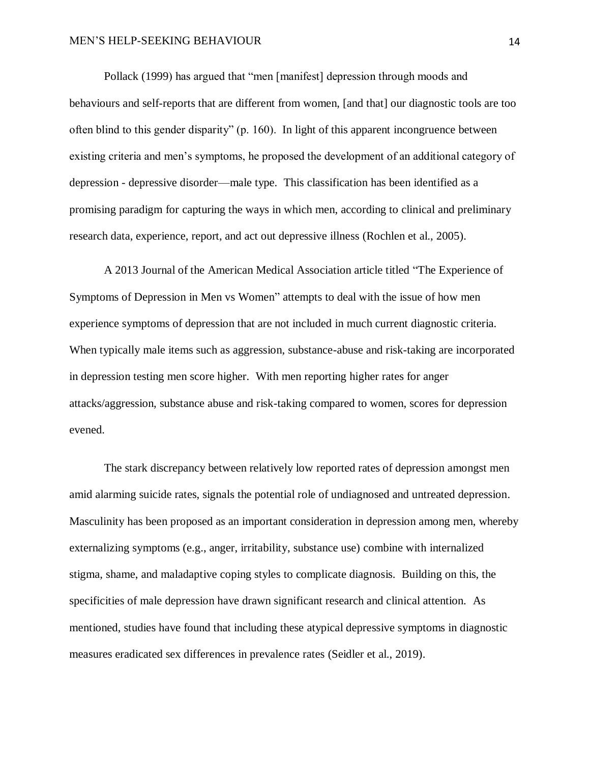Pollack (1999) has argued that "men [manifest] depression through moods and behaviours and self-reports that are different from women, [and that] our diagnostic tools are too often blind to this gender disparity" (p. 160). In light of this apparent incongruence between existing criteria and men's symptoms, he proposed the development of an additional category of depression - depressive disorder—male type. This classification has been identified as a promising paradigm for capturing the ways in which men, according to clinical and preliminary research data, experience, report, and act out depressive illness (Rochlen et al., 2005).

A 2013 Journal of the American Medical Association article titled "The Experience of Symptoms of Depression in Men vs Women" attempts to deal with the issue of how men experience symptoms of depression that are not included in much current diagnostic criteria. When typically male items such as aggression, substance-abuse and risk-taking are incorporated in depression testing men score higher. With men reporting higher rates for anger attacks/aggression, substance abuse and risk-taking compared to women, scores for depression evened.

The stark discrepancy between relatively low reported rates of depression amongst men amid alarming suicide rates, signals the potential role of undiagnosed and untreated depression. Masculinity has been proposed as an important consideration in depression among men, whereby externalizing symptoms (e.g., anger, irritability, substance use) combine with internalized stigma, shame, and maladaptive coping styles to complicate diagnosis. Building on this, the specificities of male depression have drawn significant research and clinical attention. As mentioned, studies have found that including these atypical depressive symptoms in diagnostic measures eradicated sex differences in prevalence rates (Seidler et al., 2019).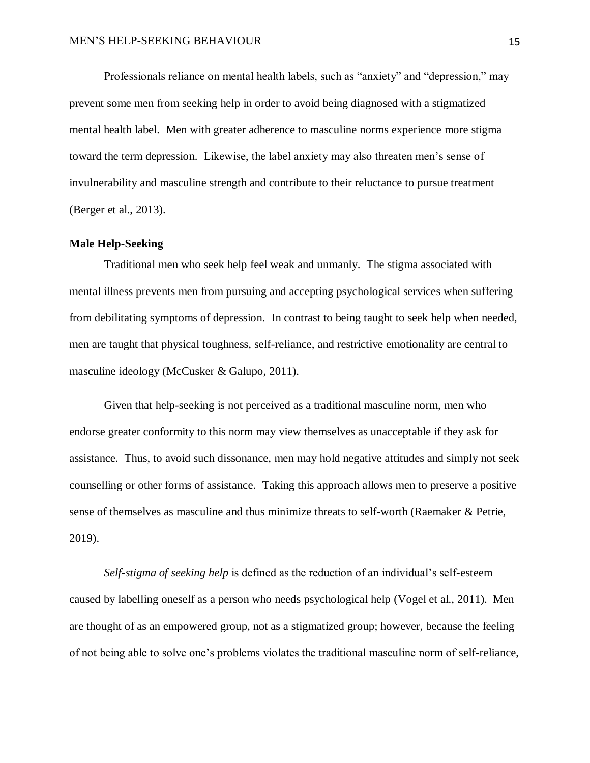Professionals reliance on mental health labels, such as "anxiety" and "depression," may prevent some men from seeking help in order to avoid being diagnosed with a stigmatized mental health label. Men with greater adherence to masculine norms experience more stigma toward the term depression. Likewise, the label anxiety may also threaten men's sense of invulnerability and masculine strength and contribute to their reluctance to pursue treatment (Berger et al., 2013).

#### <span id="page-14-0"></span>**Male Help-Seeking**

Traditional men who seek help feel weak and unmanly. The stigma associated with mental illness prevents men from pursuing and accepting psychological services when suffering from debilitating symptoms of depression. In contrast to being taught to seek help when needed, men are taught that physical toughness, self-reliance, and restrictive emotionality are central to masculine ideology (McCusker & Galupo, 2011).

Given that help-seeking is not perceived as a traditional masculine norm, men who endorse greater conformity to this norm may view themselves as unacceptable if they ask for assistance. Thus, to avoid such dissonance, men may hold negative attitudes and simply not seek counselling or other forms of assistance. Taking this approach allows men to preserve a positive sense of themselves as masculine and thus minimize threats to self-worth (Raemaker & Petrie, 2019).

*Self-stigma of seeking help* is defined as the reduction of an individual's self-esteem caused by labelling oneself as a person who needs psychological help (Vogel et al., 2011). Men are thought of as an empowered group, not as a stigmatized group; however, because the feeling of not being able to solve one's problems violates the traditional masculine norm of self-reliance,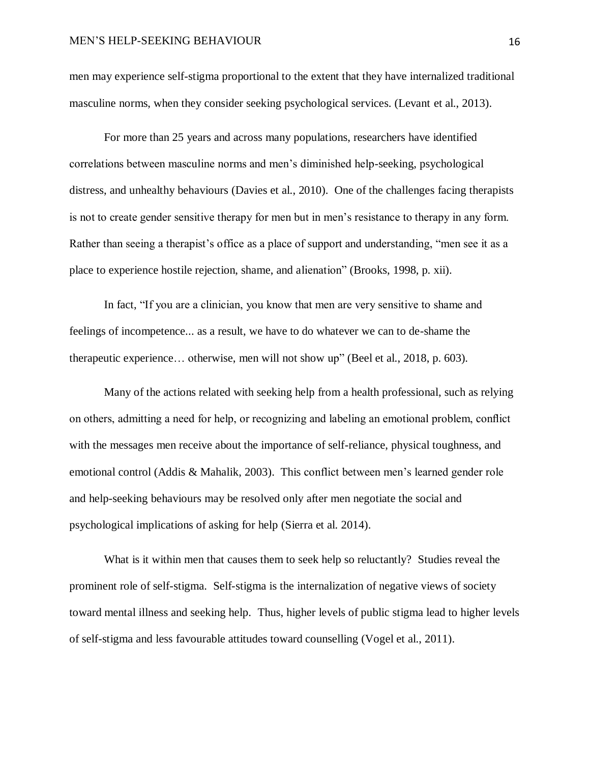men may experience self-stigma proportional to the extent that they have internalized traditional masculine norms, when they consider seeking psychological services. (Levant et al., 2013).

For more than 25 years and across many populations, researchers have identified correlations between masculine norms and men's diminished help-seeking, psychological distress, and unhealthy behaviours (Davies et al., 2010). One of the challenges facing therapists is not to create gender sensitive therapy for men but in men's resistance to therapy in any form. Rather than seeing a therapist's office as a place of support and understanding, "men see it as a place to experience hostile rejection, shame, and alienation" (Brooks, 1998, p. xii).

In fact, "If you are a clinician, you know that men are very sensitive to shame and feelings of incompetence... as a result, we have to do whatever we can to de-shame the therapeutic experience… otherwise, men will not show up" (Beel et al., 2018, p. 603).

Many of the actions related with seeking help from a health professional, such as relying on others, admitting a need for help, or recognizing and labeling an emotional problem, conflict with the messages men receive about the importance of self-reliance, physical toughness, and emotional control (Addis & Mahalik, 2003). This conflict between men's learned gender role and help-seeking behaviours may be resolved only after men negotiate the social and psychological implications of asking for help (Sierra et al. 2014).

What is it within men that causes them to seek help so reluctantly? Studies reveal the prominent role of self-stigma. Self-stigma is the internalization of negative views of society toward mental illness and seeking help. Thus, higher levels of public stigma lead to higher levels of self-stigma and less favourable attitudes toward counselling (Vogel et al., 2011).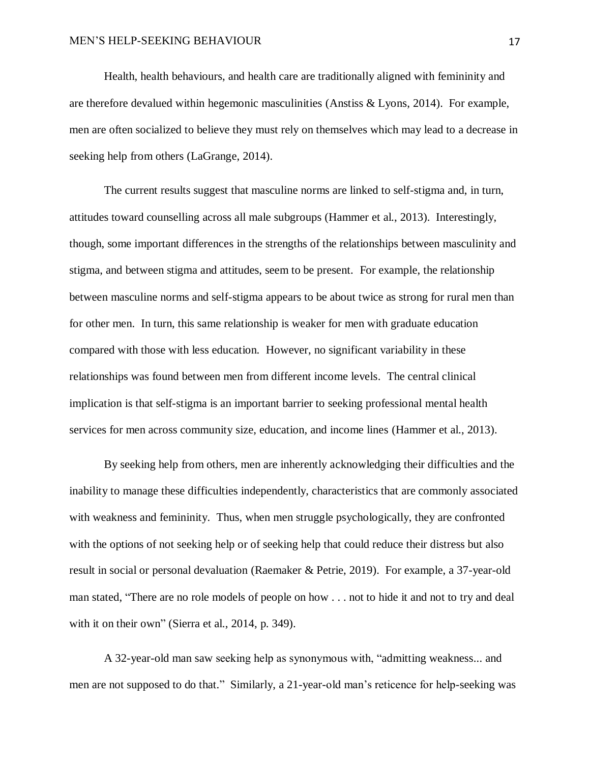Health, health behaviours, and health care are traditionally aligned with femininity and are therefore devalued within hegemonic masculinities (Anstiss & Lyons, 2014). For example, men are often socialized to believe they must rely on themselves which may lead to a decrease in seeking help from others (LaGrange, 2014).

The current results suggest that masculine norms are linked to self-stigma and, in turn, attitudes toward counselling across all male subgroups (Hammer et al., 2013). Interestingly, though, some important differences in the strengths of the relationships between masculinity and stigma, and between stigma and attitudes, seem to be present. For example, the relationship between masculine norms and self-stigma appears to be about twice as strong for rural men than for other men. In turn, this same relationship is weaker for men with graduate education compared with those with less education. However, no significant variability in these relationships was found between men from different income levels. The central clinical implication is that self-stigma is an important barrier to seeking professional mental health services for men across community size, education, and income lines (Hammer et al., 2013).

By seeking help from others, men are inherently acknowledging their difficulties and the inability to manage these difficulties independently, characteristics that are commonly associated with weakness and femininity. Thus, when men struggle psychologically, they are confronted with the options of not seeking help or of seeking help that could reduce their distress but also result in social or personal devaluation (Raemaker & Petrie, 2019). For example, a 37-year-old man stated, "There are no role models of people on how . . . not to hide it and not to try and deal with it on their own" (Sierra et al., 2014, p. 349).

A 32-year-old man saw seeking help as synonymous with, "admitting weakness... and men are not supposed to do that." Similarly, a 21-year-old man's reticence for help-seeking was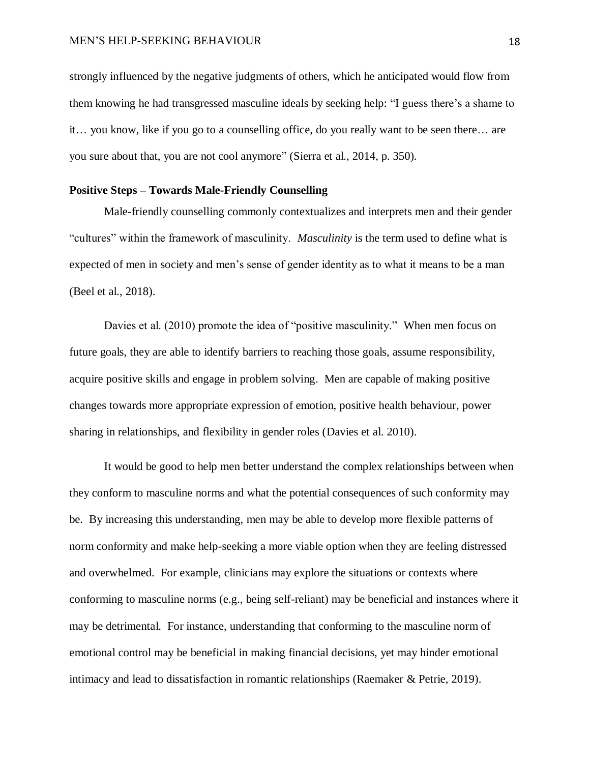strongly influenced by the negative judgments of others, which he anticipated would flow from them knowing he had transgressed masculine ideals by seeking help: "I guess there's a shame to it… you know, like if you go to a counselling office, do you really want to be seen there… are you sure about that, you are not cool anymore" (Sierra et al., 2014, p. 350).

# <span id="page-17-0"></span>**Positive Steps – Towards Male-Friendly Counselling**

Male-friendly counselling commonly contextualizes and interprets men and their gender "cultures" within the framework of masculinity. *Masculinity* is the term used to define what is expected of men in society and men's sense of gender identity as to what it means to be a man (Beel et al., 2018).

Davies et al. (2010) promote the idea of "positive masculinity." When men focus on future goals, they are able to identify barriers to reaching those goals, assume responsibility, acquire positive skills and engage in problem solving. Men are capable of making positive changes towards more appropriate expression of emotion, positive health behaviour, power sharing in relationships, and flexibility in gender roles (Davies et al. 2010).

It would be good to help men better understand the complex relationships between when they conform to masculine norms and what the potential consequences of such conformity may be. By increasing this understanding, men may be able to develop more flexible patterns of norm conformity and make help-seeking a more viable option when they are feeling distressed and overwhelmed. For example, clinicians may explore the situations or contexts where conforming to masculine norms (e.g., being self-reliant) may be beneficial and instances where it may be detrimental. For instance, understanding that conforming to the masculine norm of emotional control may be beneficial in making financial decisions, yet may hinder emotional intimacy and lead to dissatisfaction in romantic relationships (Raemaker & Petrie, 2019).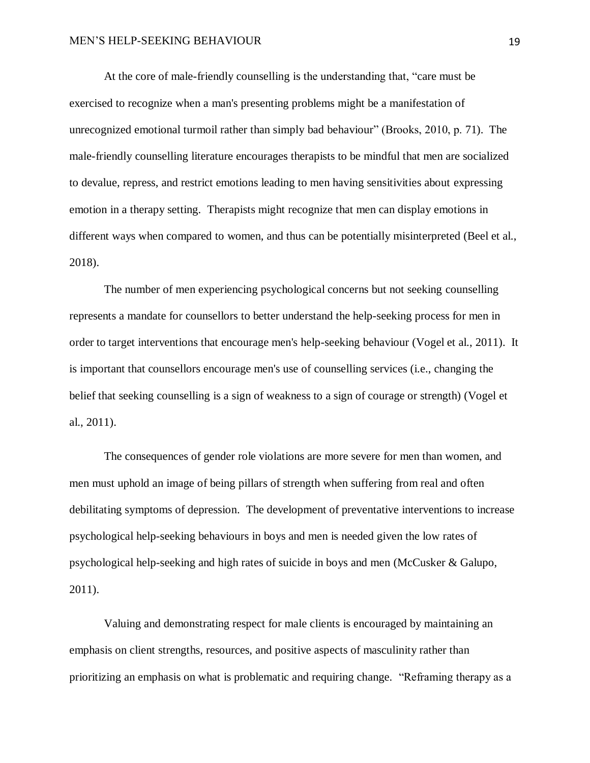At the core of male-friendly counselling is the understanding that, "care must be exercised to recognize when a man's presenting problems might be a manifestation of unrecognized emotional turmoil rather than simply bad behaviour" (Brooks, 2010, p. 71). The male-friendly counselling literature encourages therapists to be mindful that men are socialized to devalue, repress, and restrict emotions leading to men having sensitivities about expressing emotion in a therapy setting. Therapists might recognize that men can display emotions in different ways when compared to women, and thus can be potentially misinterpreted (Beel et al., 2018).

The number of men experiencing psychological concerns but not seeking counselling represents a mandate for counsellors to better understand the help-seeking process for men in order to target interventions that encourage men's help-seeking behaviour (Vogel et al., 2011). It is important that counsellors encourage men's use of counselling services (i.e., changing the belief that seeking counselling is a sign of weakness to a sign of courage or strength) (Vogel et al., 2011).

The consequences of gender role violations are more severe for men than women, and men must uphold an image of being pillars of strength when suffering from real and often debilitating symptoms of depression. The development of preventative interventions to increase psychological help-seeking behaviours in boys and men is needed given the low rates of psychological help-seeking and high rates of suicide in boys and men (McCusker & Galupo, 2011).

Valuing and demonstrating respect for male clients is encouraged by maintaining an emphasis on client strengths, resources, and positive aspects of masculinity rather than prioritizing an emphasis on what is problematic and requiring change. "Reframing therapy as a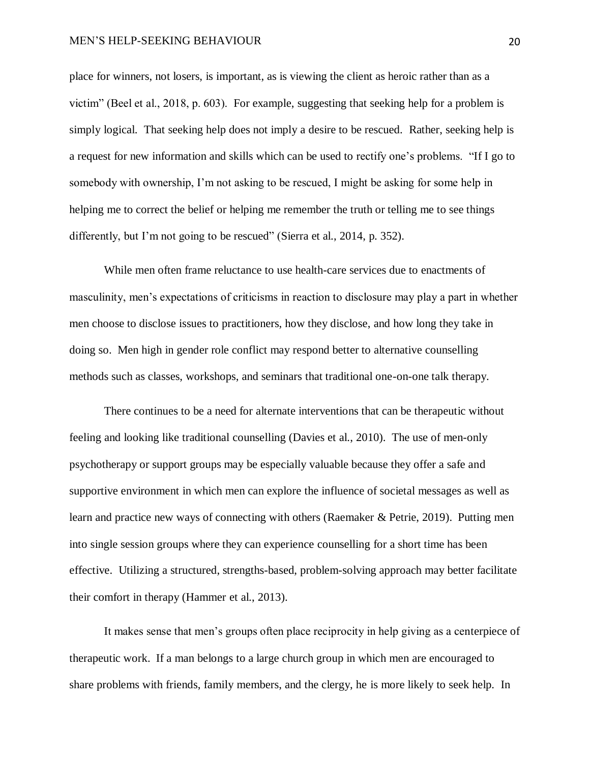place for winners, not losers, is important, as is viewing the client as heroic rather than as a victim" (Beel et al., 2018, p. 603). For example, suggesting that seeking help for a problem is simply logical. That seeking help does not imply a desire to be rescued. Rather, seeking help is a request for new information and skills which can be used to rectify one's problems. "If I go to somebody with ownership, I'm not asking to be rescued, I might be asking for some help in helping me to correct the belief or helping me remember the truth or telling me to see things differently, but I'm not going to be rescued" (Sierra et al., 2014, p. 352).

While men often frame reluctance to use health-care services due to enactments of masculinity, men's expectations of criticisms in reaction to disclosure may play a part in whether men choose to disclose issues to practitioners, how they disclose, and how long they take in doing so. Men high in gender role conflict may respond better to alternative counselling methods such as classes, workshops, and seminars that traditional one-on-one talk therapy.

There continues to be a need for alternate interventions that can be therapeutic without feeling and looking like traditional counselling (Davies et al., 2010). The use of men-only psychotherapy or support groups may be especially valuable because they offer a safe and supportive environment in which men can explore the influence of societal messages as well as learn and practice new ways of connecting with others (Raemaker & Petrie, 2019). Putting men into single session groups where they can experience counselling for a short time has been effective. Utilizing a structured, strengths-based, problem-solving approach may better facilitate their comfort in therapy (Hammer et al., 2013).

It makes sense that men's groups often place reciprocity in help giving as a centerpiece of therapeutic work. If a man belongs to a large church group in which men are encouraged to share problems with friends, family members, and the clergy, he is more likely to seek help. In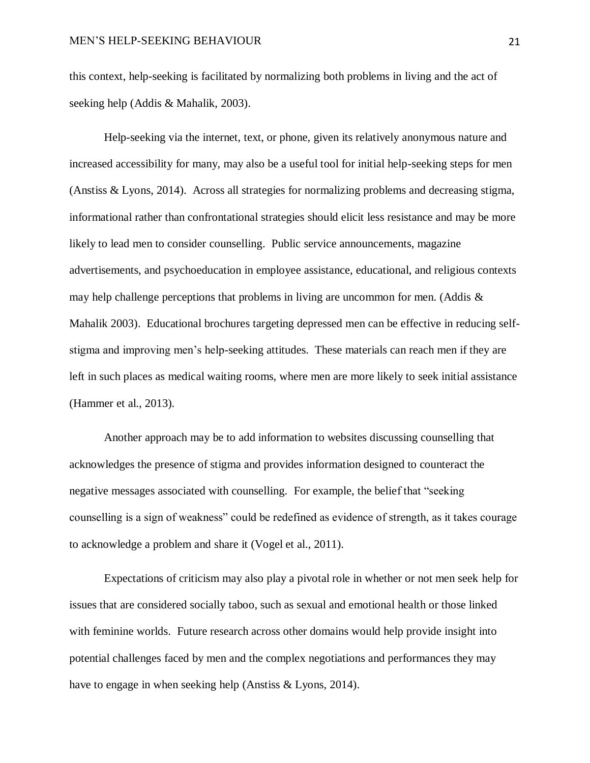this context, help-seeking is facilitated by normalizing both problems in living and the act of seeking help (Addis & Mahalik, 2003).

Help-seeking via the internet, text, or phone, given its relatively anonymous nature and increased accessibility for many, may also be a useful tool for initial help-seeking steps for men (Anstiss & Lyons, 2014). Across all strategies for normalizing problems and decreasing stigma, informational rather than confrontational strategies should elicit less resistance and may be more likely to lead men to consider counselling. Public service announcements, magazine advertisements, and psychoeducation in employee assistance, educational, and religious contexts may help challenge perceptions that problems in living are uncommon for men. (Addis & Mahalik 2003). Educational brochures targeting depressed men can be effective in reducing selfstigma and improving men's help-seeking attitudes. These materials can reach men if they are left in such places as medical waiting rooms, where men are more likely to seek initial assistance (Hammer et al., 2013).

Another approach may be to add information to websites discussing counselling that acknowledges the presence of stigma and provides information designed to counteract the negative messages associated with counselling. For example, the belief that "seeking counselling is a sign of weakness" could be redefined as evidence of strength, as it takes courage to acknowledge a problem and share it (Vogel et al., 2011).

Expectations of criticism may also play a pivotal role in whether or not men seek help for issues that are considered socially taboo, such as sexual and emotional health or those linked with feminine worlds. Future research across other domains would help provide insight into potential challenges faced by men and the complex negotiations and performances they may have to engage in when seeking help (Anstiss & Lyons, 2014).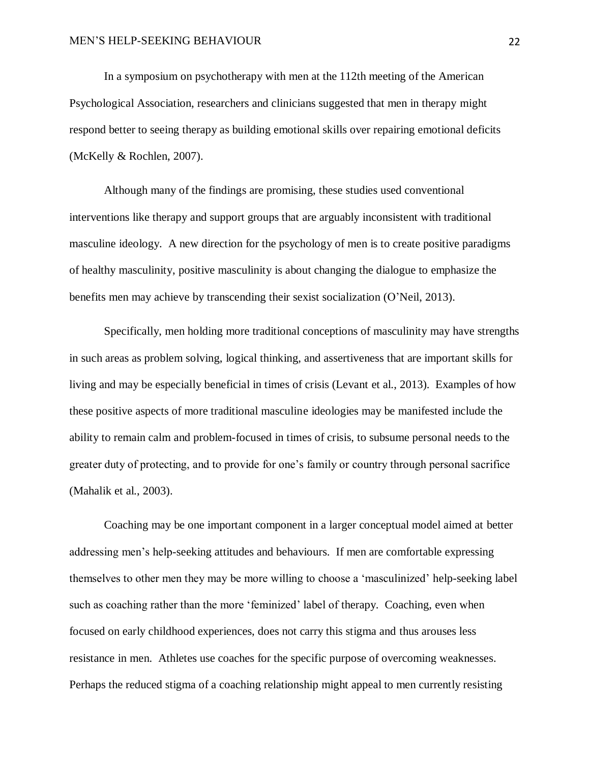In a symposium on psychotherapy with men at the 112th meeting of the American Psychological Association, researchers and clinicians suggested that men in therapy might respond better to seeing therapy as building emotional skills over repairing emotional deficits (McKelly & Rochlen, 2007).

Although many of the findings are promising, these studies used conventional interventions like therapy and support groups that are arguably inconsistent with traditional masculine ideology. A new direction for the psychology of men is to create positive paradigms of healthy masculinity, positive masculinity is about changing the dialogue to emphasize the benefits men may achieve by transcending their sexist socialization (O'Neil, 2013).

Specifically, men holding more traditional conceptions of masculinity may have strengths in such areas as problem solving, logical thinking, and assertiveness that are important skills for living and may be especially beneficial in times of crisis (Levant et al., 2013). Examples of how these positive aspects of more traditional masculine ideologies may be manifested include the ability to remain calm and problem-focused in times of crisis, to subsume personal needs to the greater duty of protecting, and to provide for one's family or country through personal sacrifice (Mahalik et al., 2003).

Coaching may be one important component in a larger conceptual model aimed at better addressing men's help-seeking attitudes and behaviours. If men are comfortable expressing themselves to other men they may be more willing to choose a 'masculinized' help-seeking label such as coaching rather than the more 'feminized' label of therapy. Coaching, even when focused on early childhood experiences, does not carry this stigma and thus arouses less resistance in men. Athletes use coaches for the specific purpose of overcoming weaknesses. Perhaps the reduced stigma of a coaching relationship might appeal to men currently resisting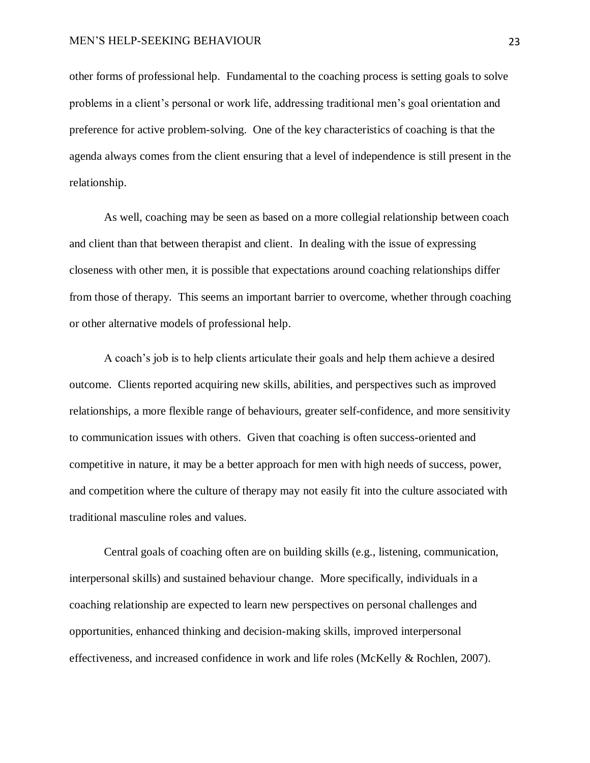other forms of professional help. Fundamental to the coaching process is setting goals to solve problems in a client's personal or work life, addressing traditional men's goal orientation and preference for active problem-solving. One of the key characteristics of coaching is that the agenda always comes from the client ensuring that a level of independence is still present in the relationship.

As well, coaching may be seen as based on a more collegial relationship between coach and client than that between therapist and client. In dealing with the issue of expressing closeness with other men, it is possible that expectations around coaching relationships differ from those of therapy. This seems an important barrier to overcome, whether through coaching or other alternative models of professional help.

A coach's job is to help clients articulate their goals and help them achieve a desired outcome. Clients reported acquiring new skills, abilities, and perspectives such as improved relationships, a more flexible range of behaviours, greater self-confidence, and more sensitivity to communication issues with others. Given that coaching is often success-oriented and competitive in nature, it may be a better approach for men with high needs of success, power, and competition where the culture of therapy may not easily fit into the culture associated with traditional masculine roles and values.

Central goals of coaching often are on building skills (e.g., listening, communication, interpersonal skills) and sustained behaviour change. More specifically, individuals in a coaching relationship are expected to learn new perspectives on personal challenges and opportunities, enhanced thinking and decision-making skills, improved interpersonal effectiveness, and increased confidence in work and life roles (McKelly & Rochlen, 2007).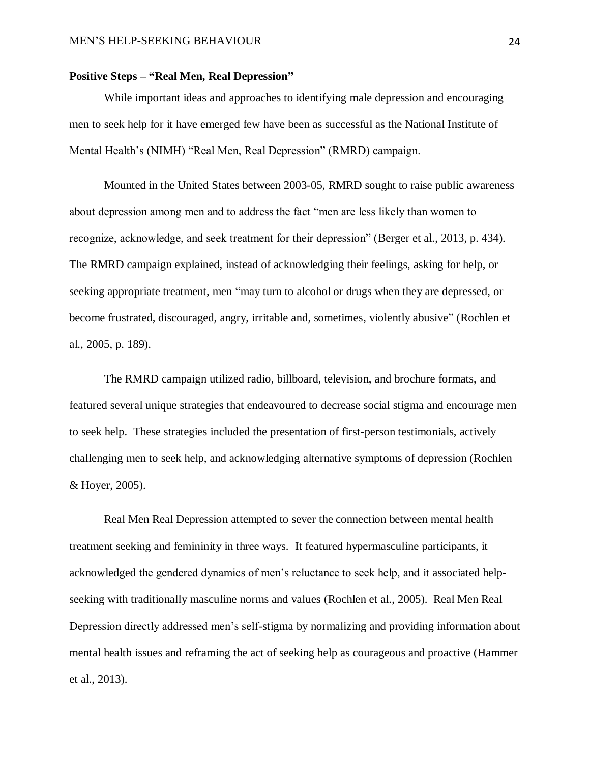# <span id="page-23-0"></span>**Positive Steps – "Real Men, Real Depression"**

While important ideas and approaches to identifying male depression and encouraging men to seek help for it have emerged few have been as successful as the National Institute of Mental Health's (NIMH) "Real Men, Real Depression" (RMRD) campaign.

Mounted in the United States between 2003-05, RMRD sought to raise public awareness about depression among men and to address the fact "men are less likely than women to recognize, acknowledge, and seek treatment for their depression" (Berger et al., 2013, p. 434). The RMRD campaign explained, instead of acknowledging their feelings, asking for help, or seeking appropriate treatment, men "may turn to alcohol or drugs when they are depressed, or become frustrated, discouraged, angry, irritable and, sometimes, violently abusive" (Rochlen et al., 2005, p. 189).

The RMRD campaign utilized radio, billboard, television, and brochure formats, and featured several unique strategies that endeavoured to decrease social stigma and encourage men to seek help. These strategies included the presentation of first-person testimonials, actively challenging men to seek help, and acknowledging alternative symptoms of depression (Rochlen & Hoyer, 2005).

Real Men Real Depression attempted to sever the connection between mental health treatment seeking and femininity in three ways. It featured hypermasculine participants, it acknowledged the gendered dynamics of men's reluctance to seek help, and it associated helpseeking with traditionally masculine norms and values (Rochlen et al., 2005). Real Men Real Depression directly addressed men's self-stigma by normalizing and providing information about mental health issues and reframing the act of seeking help as courageous and proactive (Hammer et al., 2013).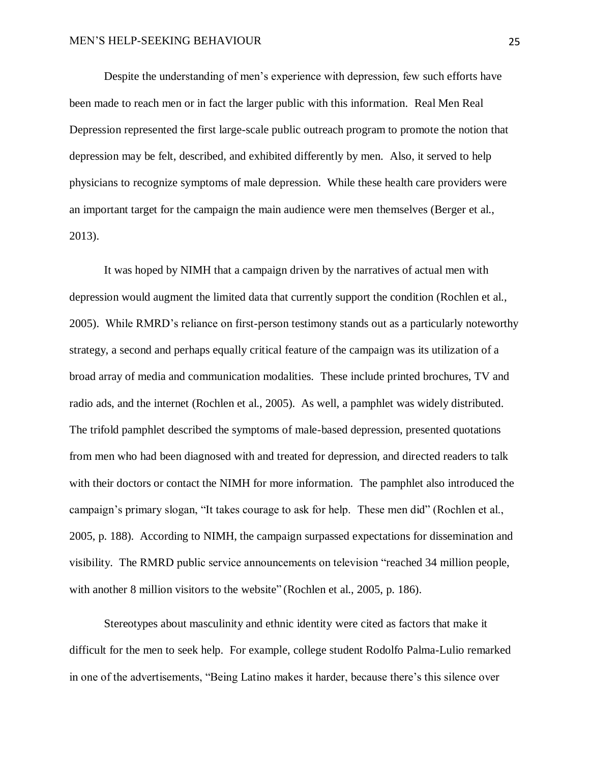Despite the understanding of men's experience with depression, few such efforts have been made to reach men or in fact the larger public with this information*.* Real Men Real Depression represented the first large-scale public outreach program to promote the notion that depression may be felt, described, and exhibited differently by men. Also, it served to help physicians to recognize symptoms of male depression. While these health care providers were an important target for the campaign the main audience were men themselves (Berger et al., 2013).

It was hoped by NIMH that a campaign driven by the narratives of actual men with depression would augment the limited data that currently support the condition (Rochlen et al., 2005). While RMRD's reliance on first-person testimony stands out as a particularly noteworthy strategy, a second and perhaps equally critical feature of the campaign was its utilization of a broad array of media and communication modalities. These include printed brochures, TV and radio ads, and the internet (Rochlen et al., 2005). As well, a pamphlet was widely distributed. The trifold pamphlet described the symptoms of male-based depression, presented quotations from men who had been diagnosed with and treated for depression, and directed readers to talk with their doctors or contact the NIMH for more information. The pamphlet also introduced the campaign's primary slogan, "It takes courage to ask for help. These men did" (Rochlen et al., 2005, p. 188). According to NIMH, the campaign surpassed expectations for dissemination and visibility. The RMRD public service announcements on television "reached 34 million people, with another 8 million visitors to the website" (Rochlen et al., 2005, p. 186).

Stereotypes about masculinity and ethnic identity were cited as factors that make it difficult for the men to seek help. For example, college student Rodolfo Palma-Lulio remarked in one of the advertisements, "Being Latino makes it harder, because there's this silence over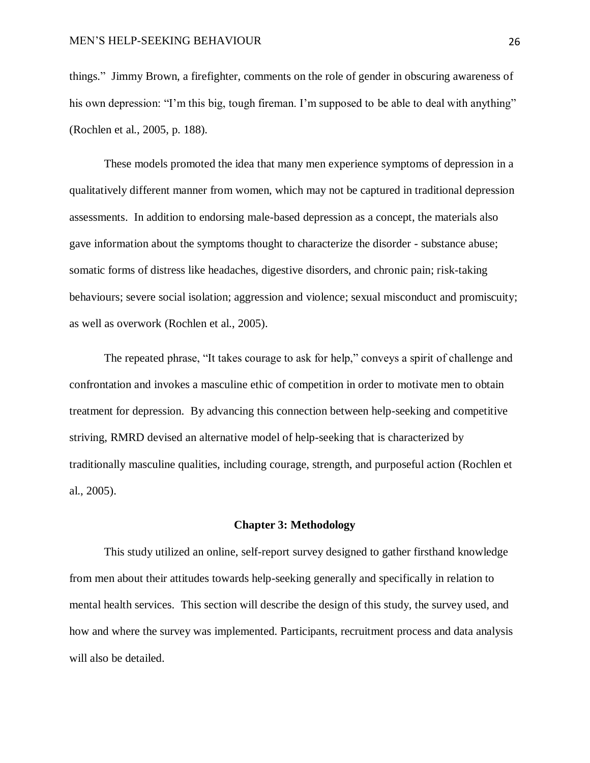things." Jimmy Brown, a firefighter, comments on the role of gender in obscuring awareness of his own depression: "I'm this big, tough fireman. I'm supposed to be able to deal with anything" (Rochlen et al., 2005, p. 188).

These models promoted the idea that many men experience symptoms of depression in a qualitatively different manner from women, which may not be captured in traditional depression assessments. In addition to endorsing male-based depression as a concept, the materials also gave information about the symptoms thought to characterize the disorder - substance abuse; somatic forms of distress like headaches, digestive disorders, and chronic pain; risk-taking behaviours; severe social isolation; aggression and violence; sexual misconduct and promiscuity; as well as overwork (Rochlen et al., 2005).

The repeated phrase, "It takes courage to ask for help," conveys a spirit of challenge and confrontation and invokes a masculine ethic of competition in order to motivate men to obtain treatment for depression. By advancing this connection between help-seeking and competitive striving, RMRD devised an alternative model of help-seeking that is characterized by traditionally masculine qualities, including courage, strength, and purposeful action (Rochlen et al., 2005).

### **Chapter 3: Methodology**

<span id="page-25-0"></span>This study utilized an online, self-report survey designed to gather firsthand knowledge from men about their attitudes towards help-seeking generally and specifically in relation to mental health services. This section will describe the design of this study, the survey used, and how and where the survey was implemented. Participants, recruitment process and data analysis will also be detailed.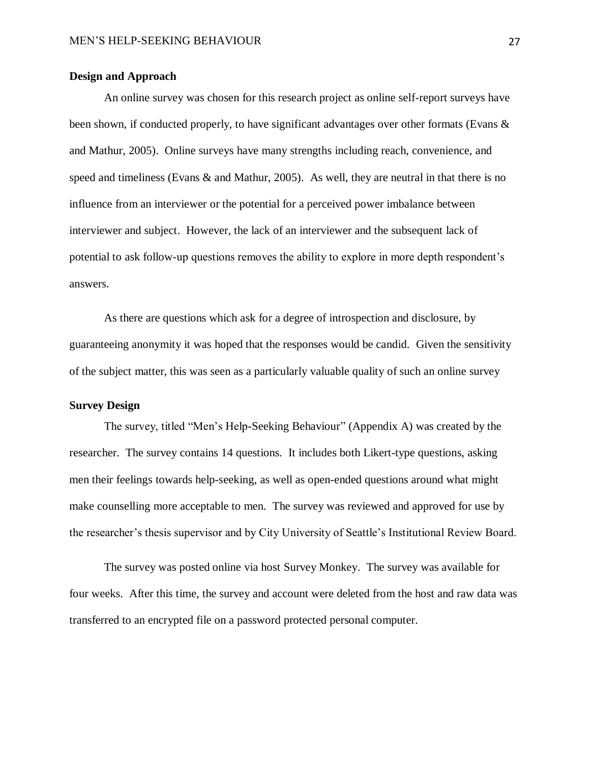### <span id="page-26-0"></span>**Design and Approach**

An online survey was chosen for this research project as online self-report surveys have been shown, if conducted properly, to have significant advantages over other formats (Evans & and Mathur, 2005). Online surveys have many strengths including reach, convenience, and speed and timeliness (Evans & and Mathur, 2005). As well, they are neutral in that there is no influence from an interviewer or the potential for a perceived power imbalance between interviewer and subject. However, the lack of an interviewer and the subsequent lack of potential to ask follow-up questions removes the ability to explore in more depth respondent's answers.

As there are questions which ask for a degree of introspection and disclosure, by guaranteeing anonymity it was hoped that the responses would be candid. Given the sensitivity of the subject matter, this was seen as a particularly valuable quality of such an online survey

# <span id="page-26-1"></span>**Survey Design**

The survey, titled "Men's Help-Seeking Behaviour" (Appendix A) was created by the researcher. The survey contains 14 questions. It includes both Likert-type questions, asking men their feelings towards help-seeking, as well as open-ended questions around what might make counselling more acceptable to men. The survey was reviewed and approved for use by the researcher's thesis supervisor and by City University of Seattle's Institutional Review Board.

The survey was posted online via host Survey Monkey. The survey was available for four weeks. After this time, the survey and account were deleted from the host and raw data was transferred to an encrypted file on a password protected personal computer.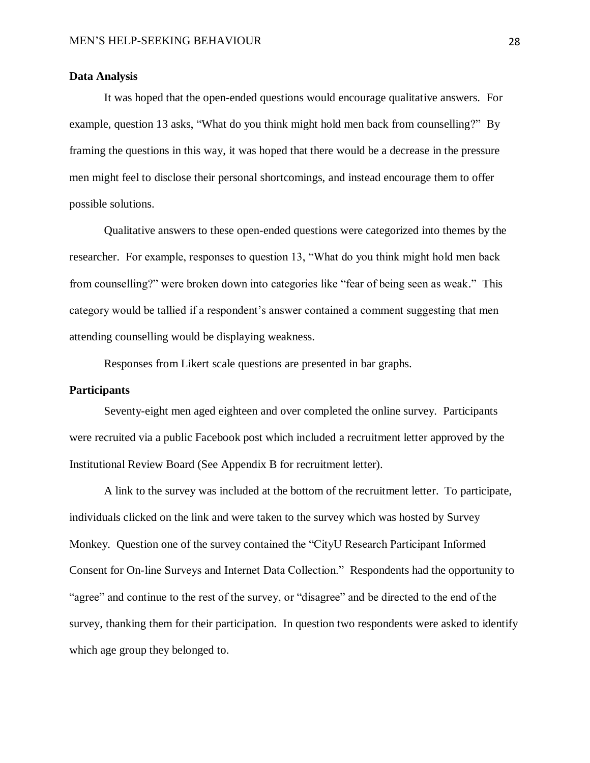#### <span id="page-27-0"></span>**Data Analysis**

It was hoped that the open-ended questions would encourage qualitative answers. For example, question 13 asks, "What do you think might hold men back from counselling?" By framing the questions in this way, it was hoped that there would be a decrease in the pressure men might feel to disclose their personal shortcomings, and instead encourage them to offer possible solutions.

Qualitative answers to these open-ended questions were categorized into themes by the researcher. For example, responses to question 13, "What do you think might hold men back from counselling?" were broken down into categories like "fear of being seen as weak." This category would be tallied if a respondent's answer contained a comment suggesting that men attending counselling would be displaying weakness.

Responses from Likert scale questions are presented in bar graphs.

#### <span id="page-27-1"></span>**Participants**

Seventy-eight men aged eighteen and over completed the online survey. Participants were recruited via a public Facebook post which included a recruitment letter approved by the Institutional Review Board (See Appendix B for recruitment letter).

A link to the survey was included at the bottom of the recruitment letter. To participate, individuals clicked on the link and were taken to the survey which was hosted by Survey Monkey. Question one of the survey contained the "CityU Research Participant Informed Consent for On-line Surveys and Internet Data Collection." Respondents had the opportunity to "agree" and continue to the rest of the survey, or "disagree" and be directed to the end of the survey, thanking them for their participation. In question two respondents were asked to identify which age group they belonged to.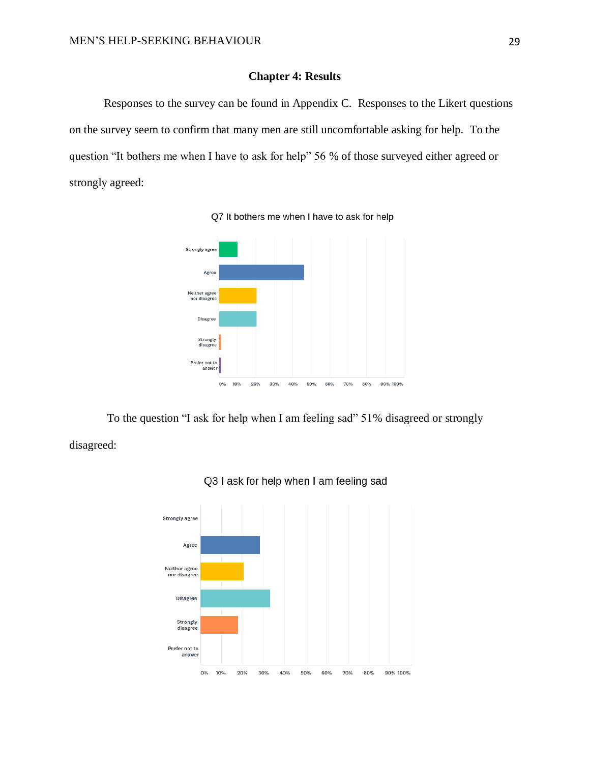# **Chapter 4: Results**

<span id="page-28-0"></span>Responses to the survey can be found in Appendix C. Responses to the Likert questions on the survey seem to confirm that many men are still uncomfortable asking for help. To the question "It bothers me when I have to ask for help" 56 % of those surveyed either agreed or strongly agreed:





To the question "I ask for help when I am feeling sad" 51% disagreed or strongly disagreed:



### Q3 I ask for help when I am feeling sad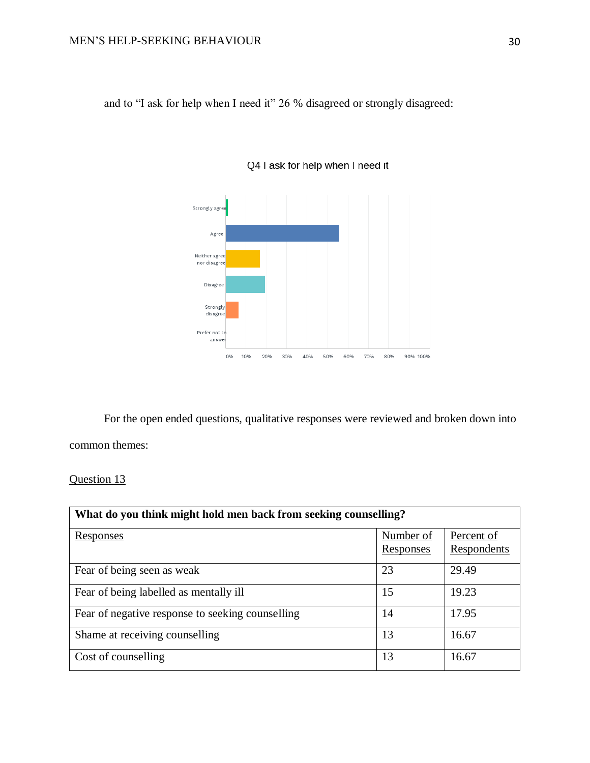and to "I ask for help when I need it" 26 % disagreed or strongly disagreed:



Q4 I ask for help when I need it

For the open ended questions, qualitative responses were reviewed and broken down into common themes:

Question 13

| What do you think might hold men back from seeking counselling? |                        |                           |
|-----------------------------------------------------------------|------------------------|---------------------------|
| <u>Responses</u>                                                | Number of<br>Responses | Percent of<br>Respondents |
| Fear of being seen as weak                                      | 23                     | 29.49                     |
| Fear of being labelled as mentally ill                          | 15                     | 19.23                     |
| Fear of negative response to seeking counselling                | 14                     | 17.95                     |
| Shame at receiving counselling                                  | 13                     | 16.67                     |
| Cost of counselling                                             | 13                     | 16.67                     |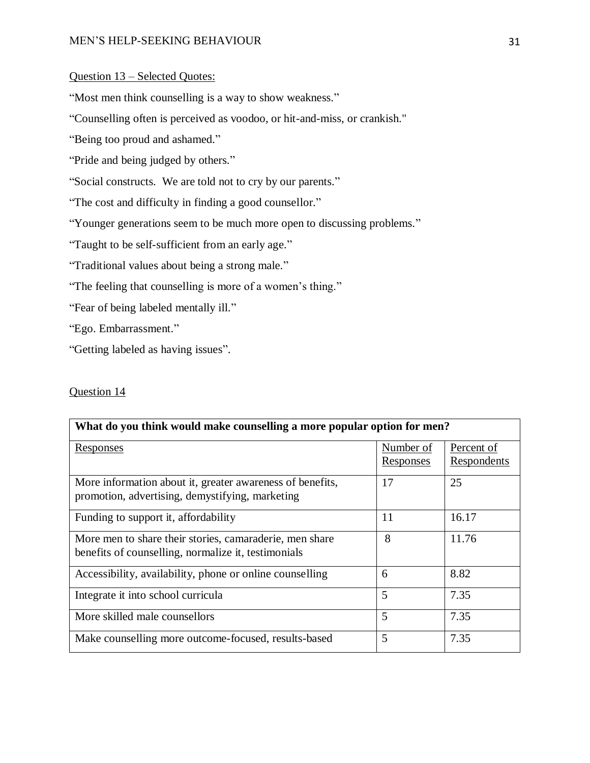# MEN'S HELP-SEEKING BEHAVIOUR 31

# Question 13 – Selected Quotes:

"Most men think counselling is a way to show weakness."

"Counselling often is perceived as voodoo, or hit-and-miss, or crankish."

"Being too proud and ashamed."

"Pride and being judged by others."

"Social constructs. We are told not to cry by our parents."

"The cost and difficulty in finding a good counsellor."

"Younger generations seem to be much more open to discussing problems."

"Taught to be self-sufficient from an early age."

"Traditional values about being a strong male."

"The feeling that counselling is more of a women's thing."

"Fear of being labeled mentally ill."

"Ego. Embarrassment."

"Getting labeled as having issues".

### Question 14

| What do you think would make counselling a more popular option for men?                                        |                               |                           |
|----------------------------------------------------------------------------------------------------------------|-------------------------------|---------------------------|
| <b>Responses</b>                                                                                               | Number of<br><b>Responses</b> | Percent of<br>Respondents |
| More information about it, greater awareness of benefits,<br>promotion, advertising, demystifying, marketing   | 17                            | 25                        |
| Funding to support it, affordability                                                                           | 11                            | 16.17                     |
| More men to share their stories, camaraderie, men share<br>benefits of counselling, normalize it, testimonials | 8                             | 11.76                     |
| Accessibility, availability, phone or online counselling                                                       | 6                             | 8.82                      |
| Integrate it into school curricula                                                                             | 5                             | 7.35                      |
| More skilled male counsellors                                                                                  | 5                             | 7.35                      |
| Make counselling more outcome-focused, results-based                                                           | 5                             | 7.35                      |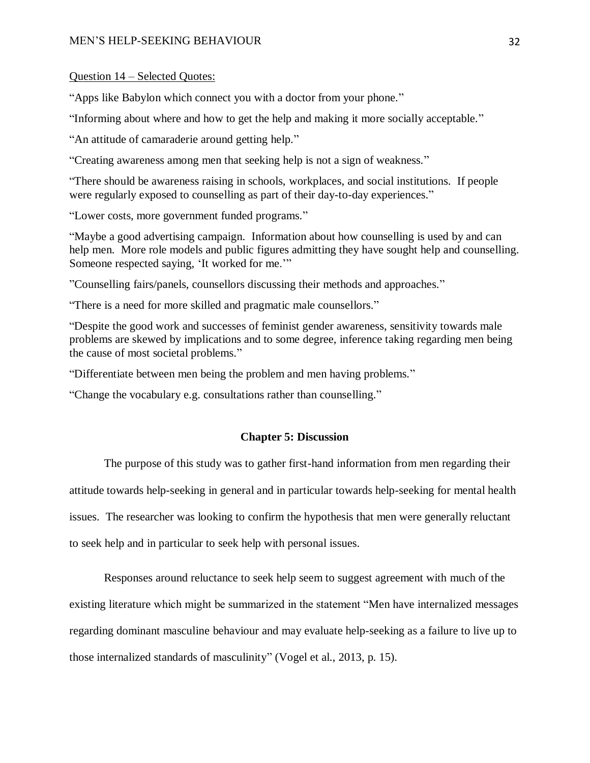#### MEN'S HELP-SEEKING BEHAVIOUR 32

### Question 14 – Selected Quotes:

"Apps like Babylon which connect you with a doctor from your phone."

"Informing about where and how to get the help and making it more socially acceptable."

"An attitude of camaraderie around getting help."

"Creating awareness among men that seeking help is not a sign of weakness."

"There should be awareness raising in schools, workplaces, and social institutions. If people were regularly exposed to counselling as part of their day-to-day experiences."

"Lower costs, more government funded programs."

"Maybe a good advertising campaign. Information about how counselling is used by and can help men. More role models and public figures admitting they have sought help and counselling. Someone respected saying, 'It worked for me.'"

"Counselling fairs/panels, counsellors discussing their methods and approaches."

"There is a need for more skilled and pragmatic male counsellors."

"Despite the good work and successes of feminist gender awareness, sensitivity towards male problems are skewed by implications and to some degree, inference taking regarding men being the cause of most societal problems."

"Differentiate between men being the problem and men having problems."

<span id="page-31-0"></span>"Change the vocabulary e.g. consultations rather than counselling."

#### **Chapter 5: Discussion**

The purpose of this study was to gather first-hand information from men regarding their

attitude towards help-seeking in general and in particular towards help-seeking for mental health

issues. The researcher was looking to confirm the hypothesis that men were generally reluctant

to seek help and in particular to seek help with personal issues.

Responses around reluctance to seek help seem to suggest agreement with much of the existing literature which might be summarized in the statement "Men have internalized messages regarding dominant masculine behaviour and may evaluate help-seeking as a failure to live up to those internalized standards of masculinity" (Vogel et al., 2013, p. 15).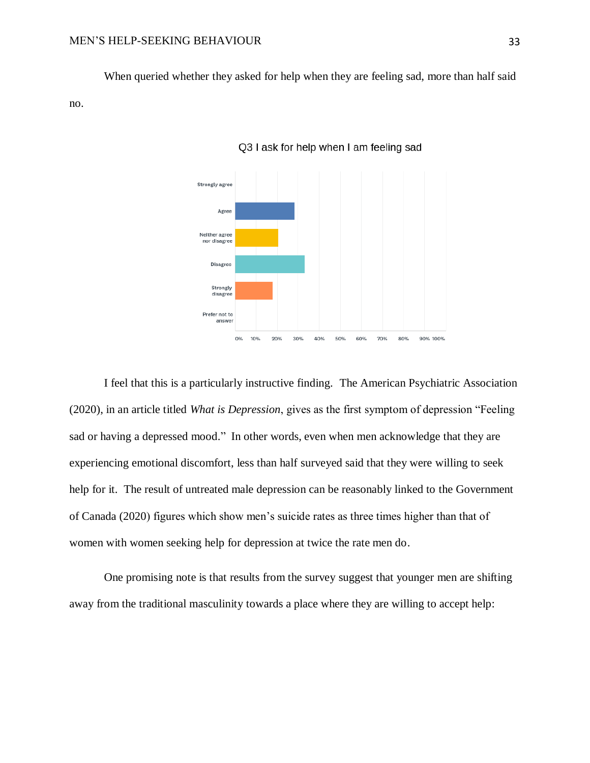When queried whether they asked for help when they are feeling sad, more than half said no.





I feel that this is a particularly instructive finding. The American Psychiatric Association (2020), in an article titled *What is Depression*, gives as the first symptom of depression "Feeling sad or having a depressed mood." In other words, even when men acknowledge that they are experiencing emotional discomfort, less than half surveyed said that they were willing to seek help for it. The result of untreated male depression can be reasonably linked to the Government of Canada (2020) figures which show men's suicide rates as three times higher than that of women with women seeking help for depression at twice the rate men do.

One promising note is that results from the survey suggest that younger men are shifting away from the traditional masculinity towards a place where they are willing to accept help: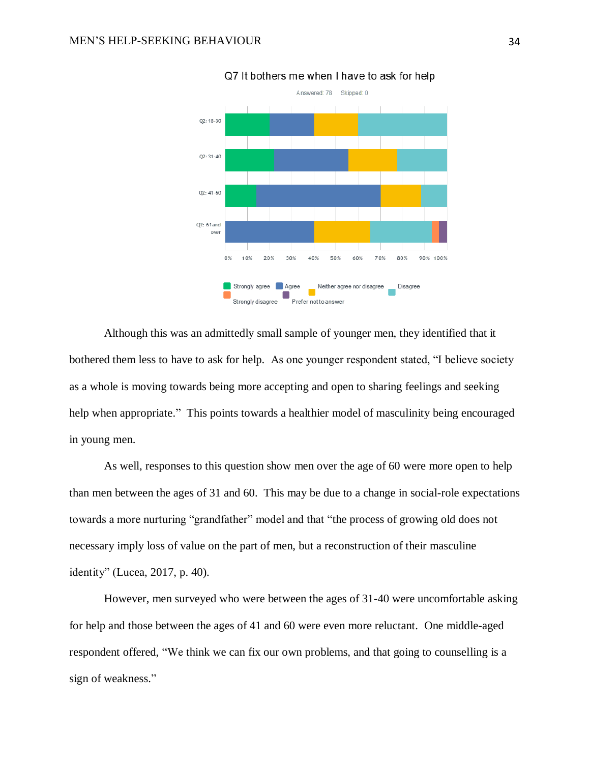

Q7 It bothers me when I have to ask for help

Although this was an admittedly small sample of younger men, they identified that it bothered them less to have to ask for help. As one younger respondent stated, "I believe society as a whole is moving towards being more accepting and open to sharing feelings and seeking help when appropriate." This points towards a healthier model of masculinity being encouraged in young men.

As well, responses to this question show men over the age of 60 were more open to help than men between the ages of 31 and 60. This may be due to a change in social-role expectations towards a more nurturing "grandfather" model and that "the process of growing old does not necessary imply loss of value on the part of men, but a reconstruction of their masculine identity" (Lucea, 2017, p. 40).

However, men surveyed who were between the ages of 31-40 were uncomfortable asking for help and those between the ages of 41 and 60 were even more reluctant. One middle-aged respondent offered, "We think we can fix our own problems, and that going to counselling is a sign of weakness."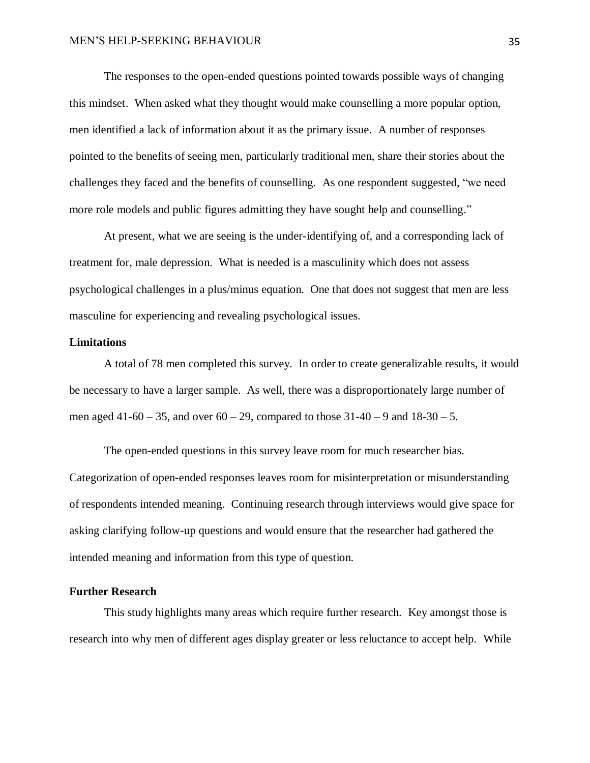The responses to the open-ended questions pointed towards possible ways of changing this mindset. When asked what they thought would make counselling a more popular option, men identified a lack of information about it as the primary issue. A number of responses pointed to the benefits of seeing men, particularly traditional men, share their stories about the challenges they faced and the benefits of counselling. As one respondent suggested, "we need more role models and public figures admitting they have sought help and counselling."

At present, what we are seeing is the under-identifying of, and a corresponding lack of treatment for, male depression. What is needed is a masculinity which does not assess psychological challenges in a plus/minus equation. One that does not suggest that men are less masculine for experiencing and revealing psychological issues.

#### <span id="page-34-0"></span>**Limitations**

A total of 78 men completed this survey. In order to create generalizable results, it would be necessary to have a larger sample. As well, there was a disproportionately large number of men aged 41-60 – 35, and over  $60 - 29$ , compared to those  $31 - 40 - 9$  and  $18 - 30 - 5$ .

The open-ended questions in this survey leave room for much researcher bias. Categorization of open-ended responses leaves room for misinterpretation or misunderstanding of respondents intended meaning. Continuing research through interviews would give space for asking clarifying follow-up questions and would ensure that the researcher had gathered the intended meaning and information from this type of question.

#### <span id="page-34-1"></span>**Further Research**

This study highlights many areas which require further research. Key amongst those is research into why men of different ages display greater or less reluctance to accept help. While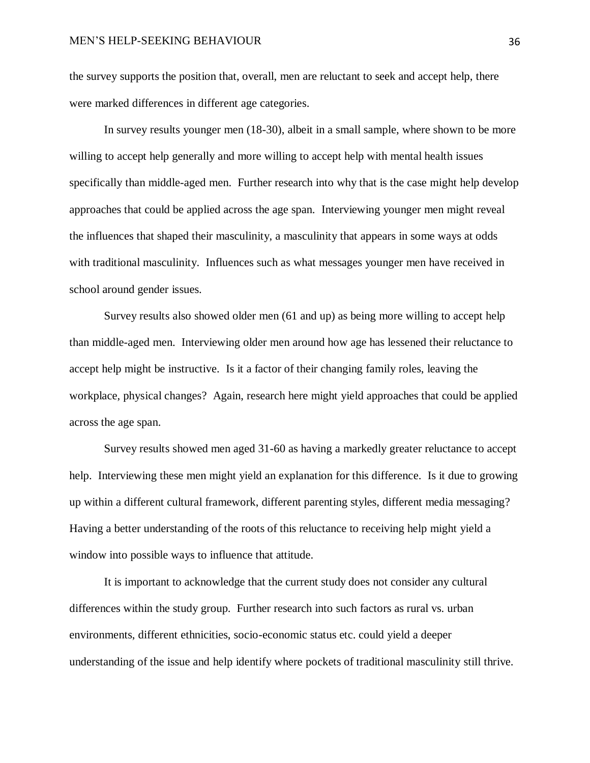the survey supports the position that, overall, men are reluctant to seek and accept help, there were marked differences in different age categories.

In survey results younger men (18-30), albeit in a small sample, where shown to be more willing to accept help generally and more willing to accept help with mental health issues specifically than middle-aged men. Further research into why that is the case might help develop approaches that could be applied across the age span. Interviewing younger men might reveal the influences that shaped their masculinity, a masculinity that appears in some ways at odds with traditional masculinity. Influences such as what messages younger men have received in school around gender issues.

Survey results also showed older men (61 and up) as being more willing to accept help than middle-aged men. Interviewing older men around how age has lessened their reluctance to accept help might be instructive. Is it a factor of their changing family roles, leaving the workplace, physical changes? Again, research here might yield approaches that could be applied across the age span.

Survey results showed men aged 31-60 as having a markedly greater reluctance to accept help. Interviewing these men might yield an explanation for this difference. Is it due to growing up within a different cultural framework, different parenting styles, different media messaging? Having a better understanding of the roots of this reluctance to receiving help might yield a window into possible ways to influence that attitude.

It is important to acknowledge that the current study does not consider any cultural differences within the study group. Further research into such factors as rural vs. urban environments, different ethnicities, socio-economic status etc. could yield a deeper understanding of the issue and help identify where pockets of traditional masculinity still thrive.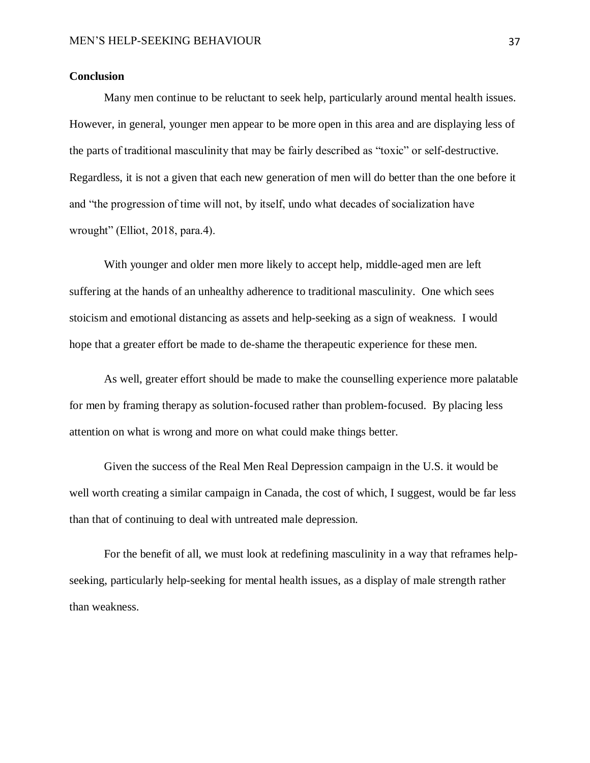# <span id="page-36-0"></span>**Conclusion**

Many men continue to be reluctant to seek help, particularly around mental health issues. However, in general, younger men appear to be more open in this area and are displaying less of the parts of traditional masculinity that may be fairly described as "toxic" or self-destructive. Regardless, it is not a given that each new generation of men will do better than the one before it and "the progression of time will not, by itself, undo what decades of socialization have wrought" (Elliot, 2018, para.4).

With younger and older men more likely to accept help, middle-aged men are left suffering at the hands of an unhealthy adherence to traditional masculinity. One which sees stoicism and emotional distancing as assets and help-seeking as a sign of weakness. I would hope that a greater effort be made to de-shame the therapeutic experience for these men.

As well, greater effort should be made to make the counselling experience more palatable for men by framing therapy as solution-focused rather than problem-focused. By placing less attention on what is wrong and more on what could make things better.

Given the success of the Real Men Real Depression campaign in the U.S. it would be well worth creating a similar campaign in Canada, the cost of which, I suggest, would be far less than that of continuing to deal with untreated male depression.

For the benefit of all, we must look at redefining masculinity in a way that reframes helpseeking, particularly help-seeking for mental health issues, as a display of male strength rather than weakness.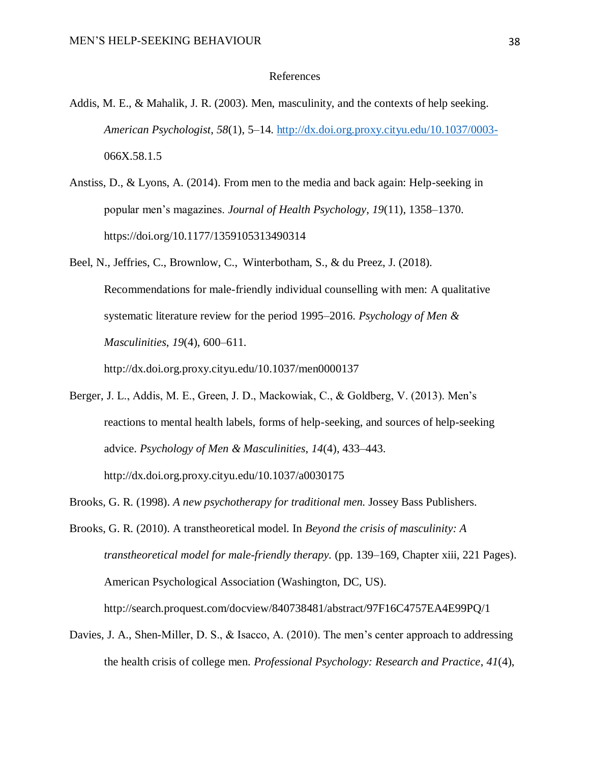#### References

- <span id="page-37-0"></span>Addis, M. E., & Mahalik, J. R. (2003). Men, masculinity, and the contexts of help seeking. *American Psychologist*, *58*(1), 5–14. [http://dx.doi.org.proxy.cityu.edu/10.1037/0003-](about:blank) 066X.58.1.5
- Anstiss, D., & Lyons, A. (2014). From men to the media and back again: Help-seeking in popular men's magazines. *Journal of Health Psychology*, *19*(11), 1358–1370. https://doi.org/10.1177/1359105313490314
- Beel, N., Jeffries, C., Brownlow, C., Winterbotham, S., & du Preez, J. (2018). Recommendations for male-friendly individual counselling with men: A qualitative systematic literature review for the period 1995–2016. *Psychology of Men & Masculinities*, *19*(4), 600–611.

http://dx.doi.org.proxy.cityu.edu/10.1037/men0000137

- Berger, J. L., Addis, M. E., Green, J. D., Mackowiak, C., & Goldberg, V. (2013). Men's reactions to mental health labels, forms of help-seeking, and sources of help-seeking advice. *Psychology of Men & Masculinities*, *14*(4), 433–443. http://dx.doi.org.proxy.cityu.edu/10.1037/a0030175
- Brooks, G. R. (1998). *A new psychotherapy for traditional men.* Jossey Bass Publishers.
- Brooks, G. R. (2010). A transtheoretical model. In *Beyond the crisis of masculinity: A transtheoretical model for male-friendly therapy.* (pp. 139–169, Chapter xiii, 221 Pages). American Psychological Association (Washington, DC, US). http://search.proquest.com/docview/840738481/abstract/97F16C4757EA4E99PQ/1
- Davies, J. A., Shen-Miller, D. S., & Isacco, A. (2010). The men's center approach to addressing the health crisis of college men. *Professional Psychology: Research and Practice*, *41*(4),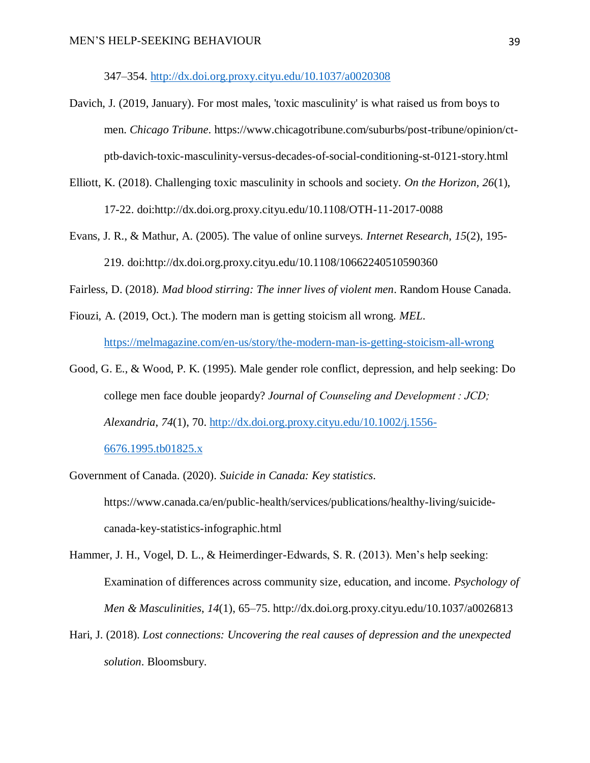347–354. [http://dx.doi.org.proxy.cityu.edu/10.1037/a0020308](about:blank)

- Davich, J. (2019, January). For most males, 'toxic masculinity' is what raised us from boys to men. *Chicago Tribune*. https://www.chicagotribune.com/suburbs/post-tribune/opinion/ctptb-davich-toxic-masculinity-versus-decades-of-social-conditioning-st-0121-story.html
- Elliott, K. (2018). Challenging toxic masculinity in schools and society. *On the Horizon, 26*(1), 17-22. doi:http://dx.doi.org.proxy.cityu.edu/10.1108/OTH-11-2017-0088
- Evans, J. R., & Mathur, A. (2005). The value of online surveys. *Internet Research, 15*(2), 195- 219. doi:http://dx.doi.org.proxy.cityu.edu/10.1108/10662240510590360

Fairless, D. (2018). *Mad blood stirring: The inner lives of violent men*. Random House Canada.

- Fiouzi, A. (2019, Oct.). The modern man is getting stoicism all wrong*. MEL*. [https://melmagazine.com/en-us/story/the-modern-man-is-getting-stoicism-all-wrong](about:blank)
- Good, G. E., & Wood, P. K. (1995). Male gender role conflict, depression, and help seeking: Do college men face double jeopardy? *Journal of Counseling and Development : JCD; Alexandria*, *74*(1), 70. [http://dx.doi.org.proxy.cityu.edu/10.1002/j.1556-](about:blank) [6676.1995.tb01825.x](about:blank)
- Government of Canada. (2020). *Suicide in Canada: Key statistics*. https://www.canada.ca/en/public-health/services/publications/healthy-living/suicidecanada-key-statistics-infographic.html
- Hammer, J. H., Vogel, D. L., & Heimerdinger-Edwards, S. R. (2013). Men's help seeking: Examination of differences across community size, education, and income. *Psychology of Men & Masculinities*, *14*(1), 65–75. http://dx.doi.org.proxy.cityu.edu/10.1037/a0026813
- Hari, J. (2018). *Lost connections: Uncovering the real causes of depression and the unexpected solution*. Bloomsbury.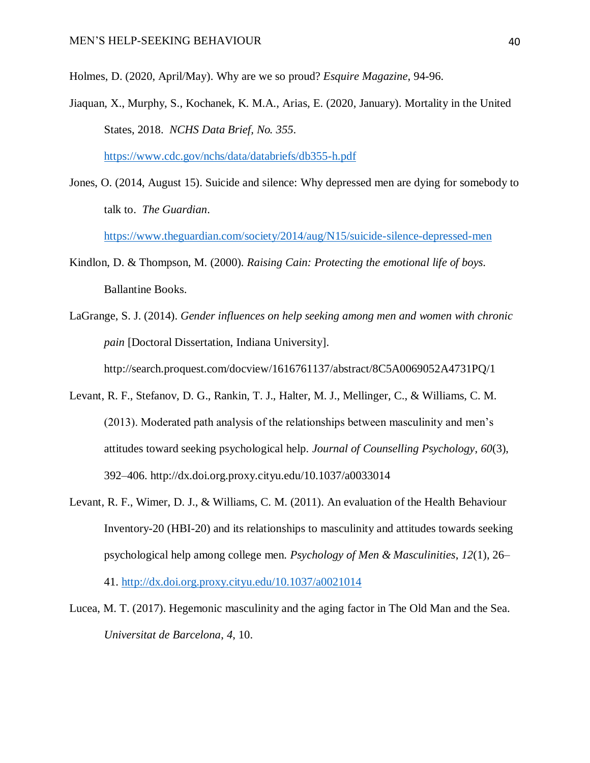Holmes, D. (2020, April/May). Why are we so proud? *Esquire Magazine*, 94-96.

Jiaquan, X., Murphy, S., Kochanek, K. M.A., Arias, E. (2020, January). Mortality in the United States, 2018. *NCHS Data Brief, No. 355*.

[https://www.cdc.gov/nchs/data/databriefs/db355-h.pdf](about:blank)

Jones, O. (2014, August 15). Suicide and silence: Why depressed men are dying for somebody to talk to. *The Guardian*.

[https://www.theguardian.com/society/2014/aug/N15/suicide-silence-depressed-men](about:blank)

- Kindlon, D. & Thompson, M. (2000). *Raising Cain: Protecting the emotional life of boys*. Ballantine Books.
- LaGrange, S. J. (2014). *Gender influences on help seeking among men and women with chronic pain* [Doctoral Dissertation, Indiana University]. http://search.proquest.com/docview/1616761137/abstract/8C5A0069052A4731PQ/1
- Levant, R. F., Stefanov, D. G., Rankin, T. J., Halter, M. J., Mellinger, C., & Williams, C. M. (2013). Moderated path analysis of the relationships between masculinity and men's attitudes toward seeking psychological help. *Journal of Counselling Psychology*, *60*(3), 392–406. http://dx.doi.org.proxy.cityu.edu/10.1037/a0033014
- Levant, R. F., Wimer, D. J., & Williams, C. M. (2011). An evaluation of the Health Behaviour Inventory-20 (HBI-20) and its relationships to masculinity and attitudes towards seeking psychological help among college men. *Psychology of Men & Masculinities*, *12*(1), 26– 41. [http://dx.doi.org.proxy.cityu.edu/10.1037/a0021014](about:blank)
- Lucea, M. T. (2017). Hegemonic masculinity and the aging factor in The Old Man and the Sea. *Universitat de Barcelona*, *4*, 10.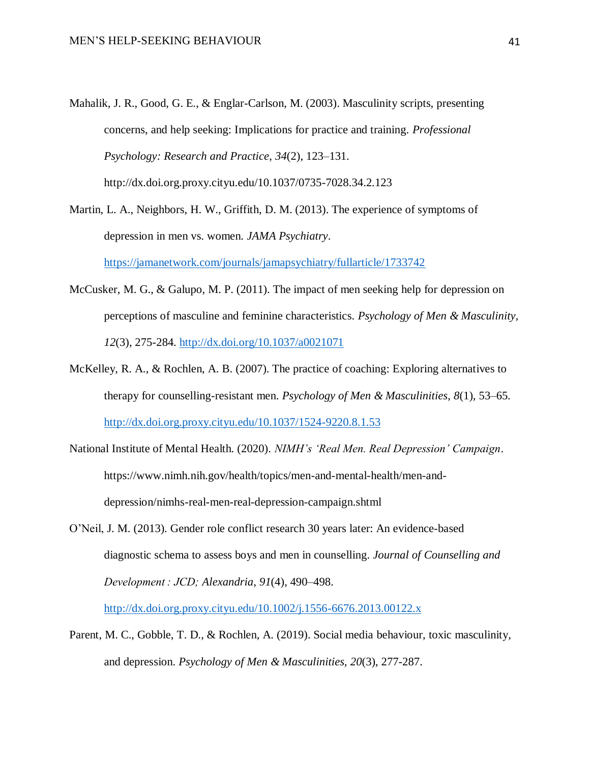- Mahalik, J. R., Good, G. E., & Englar-Carlson, M. (2003). Masculinity scripts, presenting concerns, and help seeking: Implications for practice and training. *Professional Psychology: Research and Practice*, *34*(2), 123–131. http://dx.doi.org.proxy.cityu.edu/10.1037/0735-7028.34.2.123
- Martin, L. A., Neighbors, H. W., Griffith, D. M. (2013). The experience of symptoms of depression in men vs. women. *JAMA Psychiatry*. [https://jamanetwork.com/journals/jamapsychiatry/fullarticle/1733742](about:blank)
- McCusker, M. G., & Galupo, M. P. (2011). The impact of men seeking help for depression on perceptions of masculine and feminine characteristics. *Psychology of Men & Masculinity, 12*(3), 275-284. [http://dx.doi.org/10.1037/a0021071](about:blank)
- McKelley, R. A., & Rochlen, A. B. (2007). The practice of coaching: Exploring alternatives to therapy for counselling-resistant men. *Psychology of Men & Masculinities*, *8*(1), 53–65. [http://dx.doi.org.proxy.cityu.edu/10.1037/1524-9220.8.1.53](about:blank)
- National Institute of Mental Health. (2020). *NIMH's 'Real Men. Real Depression' Campaign*. https://www.nimh.nih.gov/health/topics/men-and-mental-health/men-anddepression/nimhs-real-men-real-depression-campaign.shtml
- O'Neil, J. M. (2013). Gender role conflict research 30 years later: An evidence-based diagnostic schema to assess boys and men in counselling. *Journal of Counselling and Development : JCD; Alexandria*, *91*(4), 490–498.

[http://dx.doi.org.proxy.cityu.edu/10.1002/j.1556-6676.2013.00122.x](about:blank)

Parent, M. C., Gobble, T. D., & Rochlen, A. (2019). Social media behaviour, toxic masculinity, and depression. *Psychology of Men & Masculinities, 20*(3), 277-287.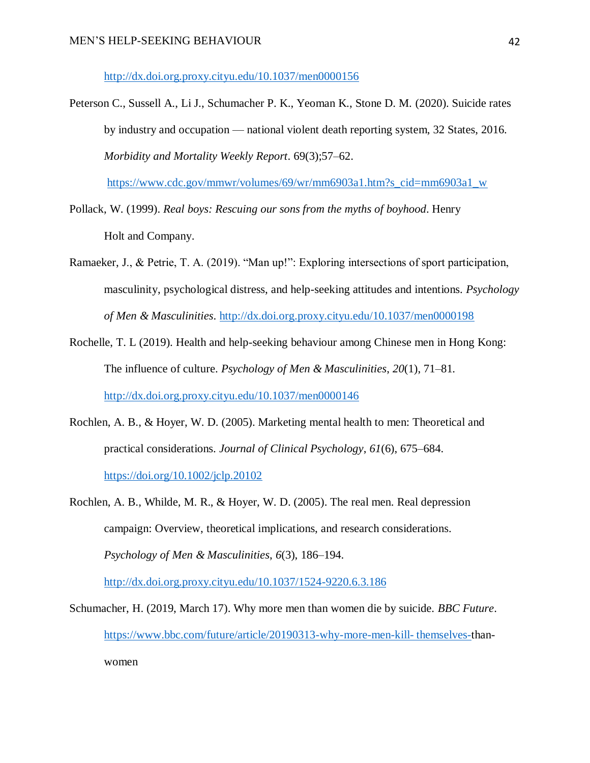[http://dx.doi.org.proxy.cityu.edu/10.1037/men0000156](about:blank)

Peterson C., Sussell A., Li J., Schumacher P. K., Yeoman K., Stone D. M. (2020). Suicide rates by industry and occupation — national violent death reporting system, 32 States, 2016. *Morbidity and Mortality Weekly Report*. 69(3);57–62.

[https://www.cdc.gov/mmwr/volumes/69/wr/mm6903a1.htm?s\\_cid=mm6903a1\\_w](about:blank)

- Pollack, W. (1999). *Real boys: Rescuing our sons from the myths of boyhood*. Henry Holt and Company.
- Ramaeker, J., & Petrie, T. A. (2019). "Man up!": Exploring intersections of sport participation, masculinity, psychological distress, and help-seeking attitudes and intentions. *Psychology of Men & Masculinities*. [http://dx.doi.org.proxy.cityu.edu/10.1037/men0000198](about:blank)
- Rochelle, T. L (2019). Health and help-seeking behaviour among Chinese men in Hong Kong: The influence of culture. *Psychology of Men & Masculinities*, *20*(1), 71–81. [http://dx.doi.org.proxy.cityu.edu/10.1037/men0000146](about:blank)
- Rochlen, A. B., & Hoyer, W. D. (2005). Marketing mental health to men: Theoretical and practical considerations. *Journal of Clinical Psychology*, *61*(6), 675–684. [https://doi.org/10.1002/jclp.20102](about:blank)
- Rochlen, A. B., Whilde, M. R., & Hoyer, W. D. (2005). The real men. Real depression campaign: Overview, theoretical implications, and research considerations. *Psychology of Men & Masculinities*, *6*(3), 186–194. [http://dx.doi.org.proxy.cityu.edu/10.1037/1524-9220.6.3.186](about:blank)
- Schumacher, H. (2019, March 17). Why more men than women die by suicide. *BBC Future*. [https://www.bbc.com/future/article/20190313-why-more-men-kill-](about:blank) themselves-thanwomen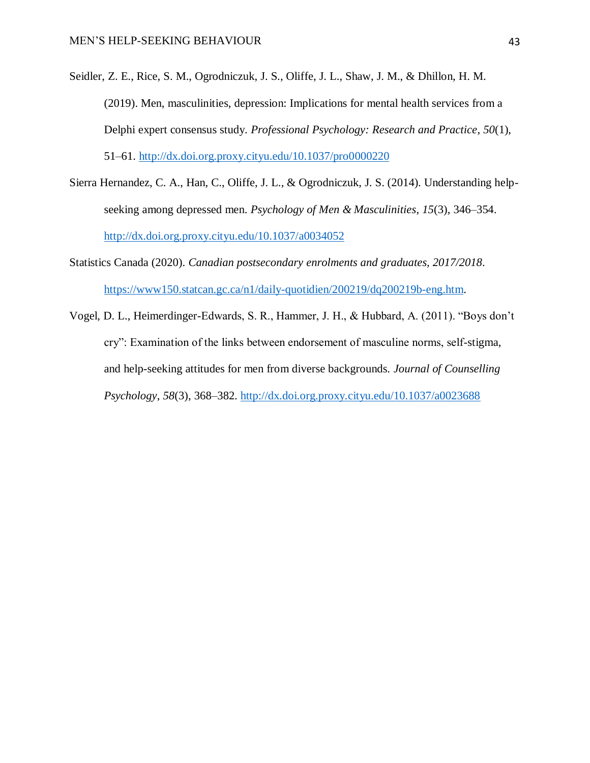- Seidler, Z. E., Rice, S. M., Ogrodniczuk, J. S., Oliffe, J. L., Shaw, J. M., & Dhillon, H. M. (2019). Men, masculinities, depression: Implications for mental health services from a Delphi expert consensus study. *Professional Psychology: Research and Practice*, *50*(1), 51–61. [http://dx.doi.org.proxy.cityu.edu/10.1037/pro0000220](about:blank)
- Sierra Hernandez, C. A., Han, C., Oliffe, J. L., & Ogrodniczuk, J. S. (2014). Understanding helpseeking among depressed men. *Psychology of Men & Masculinities*, *15*(3), 346–354. [http://dx.doi.org.proxy.cityu.edu/10.1037/a0034052](about:blank)
- Statistics Canada (2020). *Canadian postsecondary enrolments and graduates, 2017/2018.* [https://www150.statcan.gc.ca/n1/daily-quotidien/200219/dq200219b-eng.htm.](about:blank)
- Vogel, D. L., Heimerdinger-Edwards, S. R., Hammer, J. H., & Hubbard, A. (2011). "Boys don't cry": Examination of the links between endorsement of masculine norms, self-stigma, and help-seeking attitudes for men from diverse backgrounds. *Journal of Counselling Psychology*, *58*(3), 368–382. [http://dx.doi.org.proxy.cityu.edu/10.1037/a0023688](about:blank)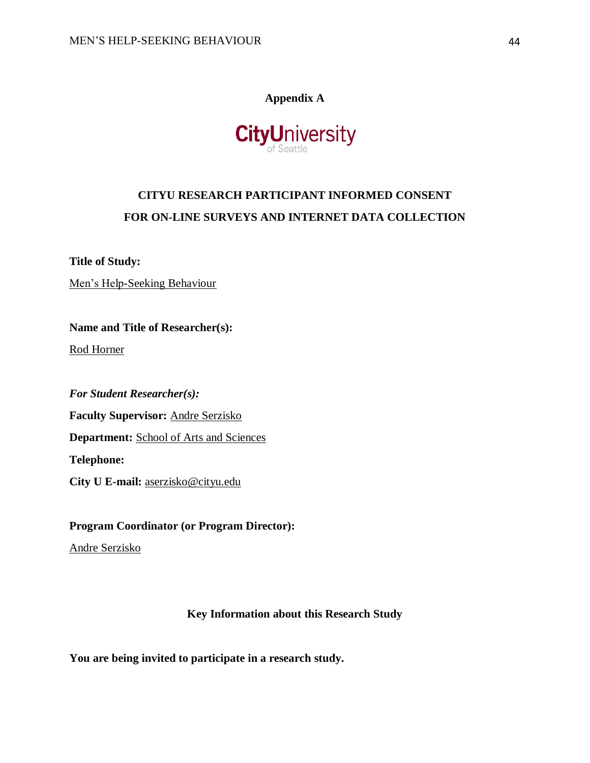# **Appendix A**



# <span id="page-43-0"></span>**CITYU RESEARCH PARTICIPANT INFORMED CONSENT FOR ON-LINE SURVEYS AND INTERNET DATA COLLECTION**

**Title of Study:** 

Men's Help-Seeking Behaviour

**Name and Title of Researcher(s):** 

Rod Horner

*For Student Researcher(s):* **Faculty Supervisor:** Andre Serzisko

**Department:** School of Arts and Sciences

**Telephone:** 

**City U E-mail:** aserzisko@cityu.edu

**Program Coordinator (or Program Director):**

Andre Serzisko

# **Key Information about this Research Study**

**You are being invited to participate in a research study.**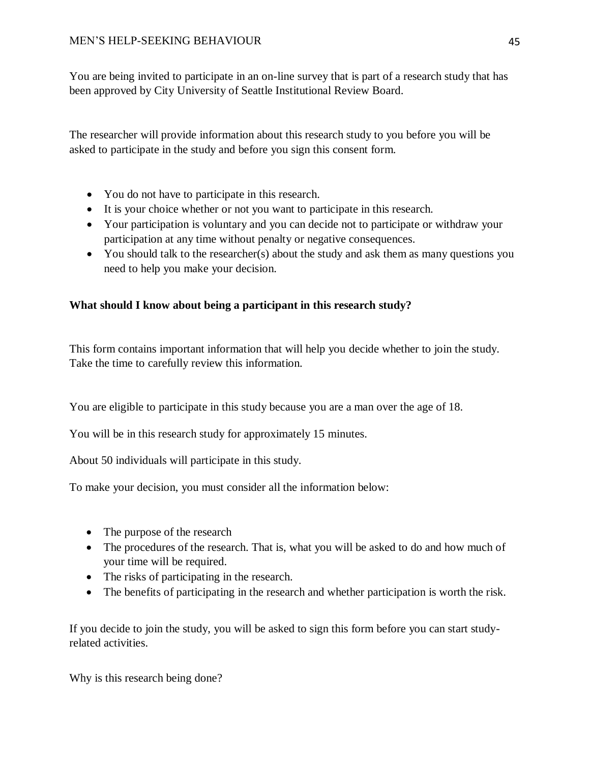You are being invited to participate in an on-line survey that is part of a research study that has been approved by City University of Seattle Institutional Review Board.

The researcher will provide information about this research study to you before you will be asked to participate in the study and before you sign this consent form.

- You do not have to participate in this research.
- It is your choice whether or not you want to participate in this research.
- Your participation is voluntary and you can decide not to participate or withdraw your participation at any time without penalty or negative consequences.
- You should talk to the researcher(s) about the study and ask them as many questions you need to help you make your decision.

# **What should I know about being a participant in this research study?**

This form contains important information that will help you decide whether to join the study. Take the time to carefully review this information.

You are eligible to participate in this study because you are a man over the age of 18.

You will be in this research study for approximately 15 minutes.

About 50 individuals will participate in this study.

To make your decision, you must consider all the information below:

- The purpose of the research
- The procedures of the research. That is, what you will be asked to do and how much of your time will be required.
- The risks of participating in the research.
- The benefits of participating in the research and whether participation is worth the risk.

If you decide to join the study, you will be asked to sign this form before you can start studyrelated activities.

Why is this research being done?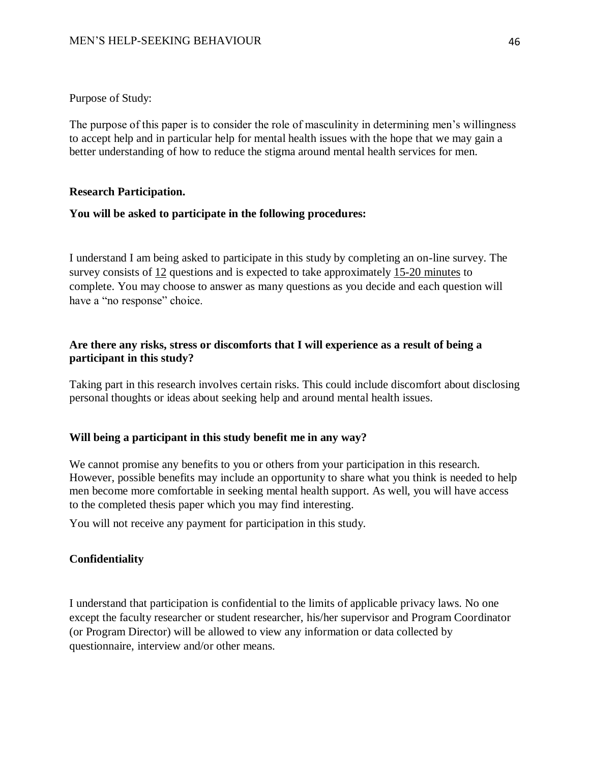# Purpose of Study:

The purpose of this paper is to consider the role of masculinity in determining men's willingness to accept help and in particular help for mental health issues with the hope that we may gain a better understanding of how to reduce the stigma around mental health services for men.

# **Research Participation.**

# **You will be asked to participate in the following procedures:**

I understand I am being asked to participate in this study by completing an on-line survey. The survey consists of 12 questions and is expected to take approximately 15-20 minutes to complete. You may choose to answer as many questions as you decide and each question will have a "no response" choice.

# **Are there any risks, stress or discomforts that I will experience as a result of being a participant in this study?**

Taking part in this research involves certain risks. This could include discomfort about disclosing personal thoughts or ideas about seeking help and around mental health issues.

# **Will being a participant in this study benefit me in any way?**

We cannot promise any benefits to you or others from your participation in this research. However, possible benefits may include an opportunity to share what you think is needed to help men become more comfortable in seeking mental health support. As well, you will have access to the completed thesis paper which you may find interesting.

You will not receive any payment for participation in this study.

# **Confidentiality**

I understand that participation is confidential to the limits of applicable privacy laws. No one except the faculty researcher or student researcher, his/her supervisor and Program Coordinator (or Program Director) will be allowed to view any information or data collected by questionnaire, interview and/or other means.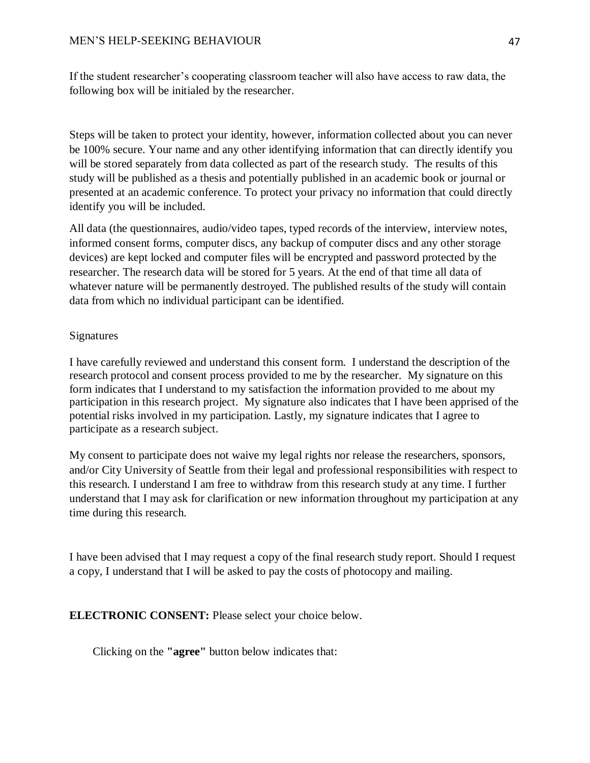If the student researcher's cooperating classroom teacher will also have access to raw data, the following box will be initialed by the researcher.

Steps will be taken to protect your identity, however, information collected about you can never be 100% secure. Your name and any other identifying information that can directly identify you will be stored separately from data collected as part of the research study. The results of this study will be published as a thesis and potentially published in an academic book or journal or presented at an academic conference. To protect your privacy no information that could directly identify you will be included.

All data (the questionnaires, audio/video tapes, typed records of the interview, interview notes, informed consent forms, computer discs, any backup of computer discs and any other storage devices) are kept locked and computer files will be encrypted and password protected by the researcher. The research data will be stored for 5 years. At the end of that time all data of whatever nature will be permanently destroyed. The published results of the study will contain data from which no individual participant can be identified.

# Signatures

I have carefully reviewed and understand this consent form. I understand the description of the research protocol and consent process provided to me by the researcher. My signature on this form indicates that I understand to my satisfaction the information provided to me about my participation in this research project. My signature also indicates that I have been apprised of the potential risks involved in my participation. Lastly, my signature indicates that I agree to participate as a research subject.

My consent to participate does not waive my legal rights nor release the researchers, sponsors, and/or City University of Seattle from their legal and professional responsibilities with respect to this research. I understand I am free to withdraw from this research study at any time. I further understand that I may ask for clarification or new information throughout my participation at any time during this research.

I have been advised that I may request a copy of the final research study report. Should I request a copy, I understand that I will be asked to pay the costs of photocopy and mailing.

# **ELECTRONIC CONSENT:** Please select your choice below.

Clicking on the **"agree"** button below indicates that: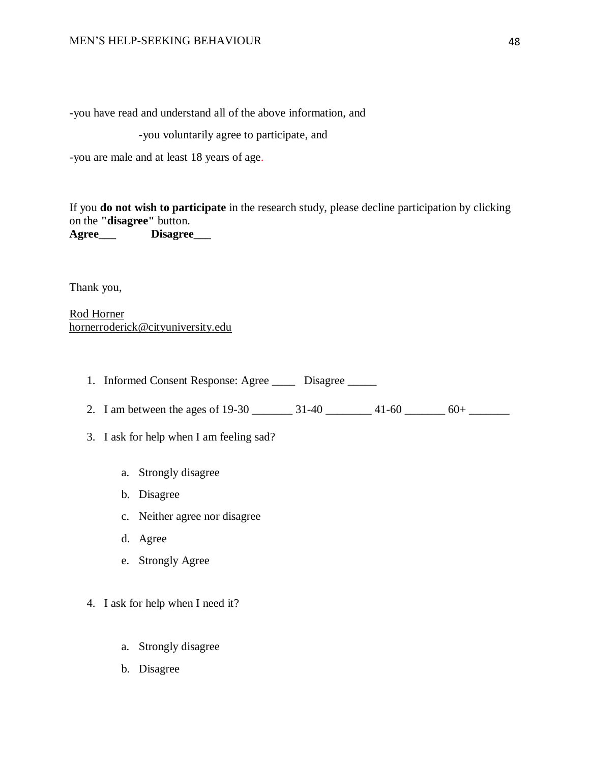-you have read and understand all of the above information, and

-you voluntarily agree to participate, and

-you are male and at least 18 years of age.

If you **do not wish to participate** in the research study, please decline participation by clicking on the **"disagree"** button. **Agree\_\_\_ Disagree\_\_\_**

Thank you,

Rod Horner hornerroderick@cityuniversity.edu

- 1. Informed Consent Response: Agree \_\_\_\_\_ Disagree \_\_\_\_\_
- 2. I am between the ages of 19-30 \_\_\_\_\_\_\_\_ 31-40 \_\_\_\_\_\_\_\_ 41-60 \_\_\_\_\_\_\_ 60+ \_\_\_\_\_\_\_
- 3. I ask for help when I am feeling sad?
	- a. Strongly disagree
	- b. Disagree
	- c. Neither agree nor disagree
	- d. Agree
	- e. Strongly Agree
- 4. I ask for help when I need it?
	- a. Strongly disagree
	- b. Disagree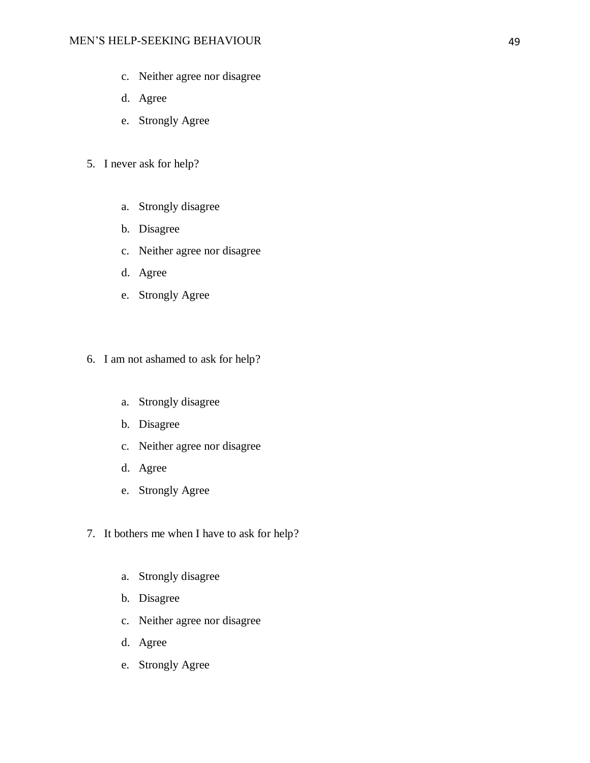- c. Neither agree nor disagree
- d. Agree
- e. Strongly Agree
- 5. I never ask for help?
	- a. Strongly disagree
	- b. Disagree
	- c. Neither agree nor disagree
	- d. Agree
	- e. Strongly Agree
- 6. I am not ashamed to ask for help?
	- a. Strongly disagree
	- b. Disagree
	- c. Neither agree nor disagree
	- d. Agree
	- e. Strongly Agree
- 7. It bothers me when I have to ask for help?
	- a. Strongly disagree
	- b. Disagree
	- c. Neither agree nor disagree
	- d. Agree
	- e. Strongly Agree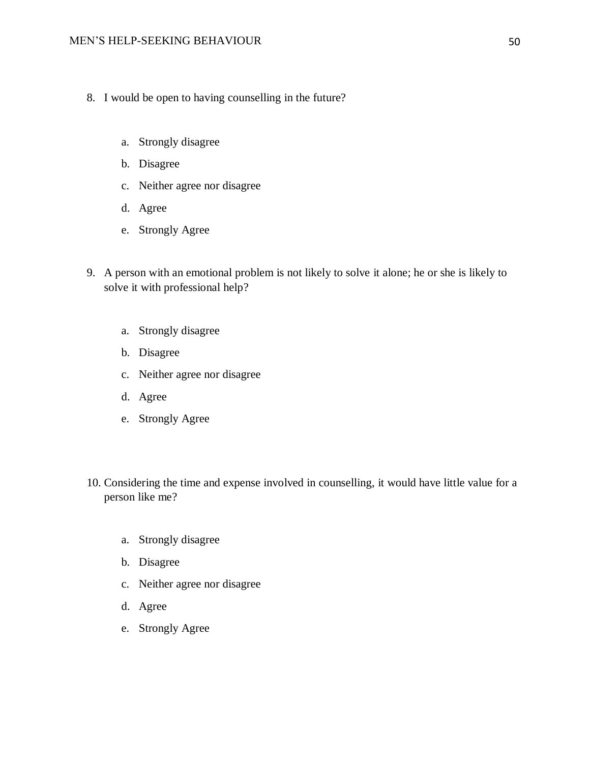- 8. I would be open to having counselling in the future?
	- a. Strongly disagree
	- b. Disagree
	- c. Neither agree nor disagree
	- d. Agree
	- e. Strongly Agree
- 9. A person with an emotional problem is not likely to solve it alone; he or she is likely to solve it with professional help?
	- a. Strongly disagree
	- b. Disagree
	- c. Neither agree nor disagree
	- d. Agree
	- e. Strongly Agree
- 10. Considering the time and expense involved in counselling, it would have little value for a person like me?
	- a. Strongly disagree
	- b. Disagree
	- c. Neither agree nor disagree
	- d. Agree
	- e. Strongly Agree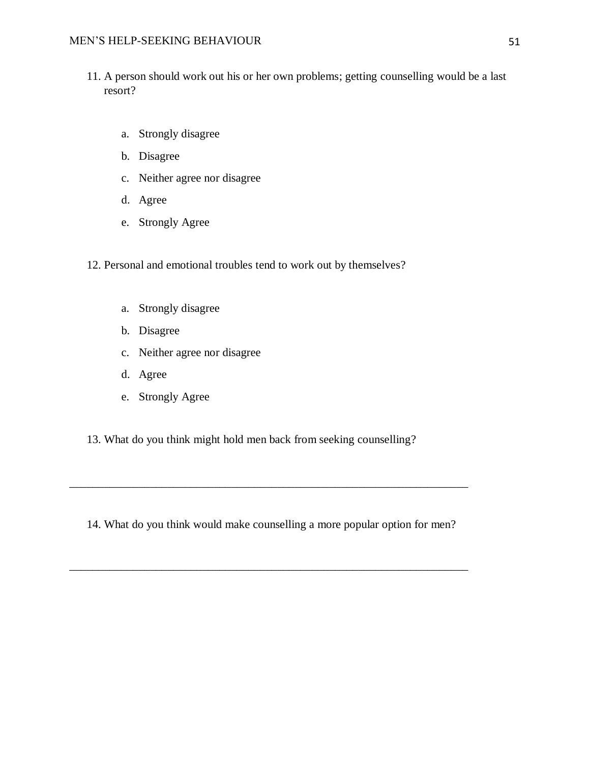- 11. A person should work out his or her own problems; getting counselling would be a last resort?
	- a. Strongly disagree
	- b. Disagree
	- c. Neither agree nor disagree
	- d. Agree
	- e. Strongly Agree
- 12. Personal and emotional troubles tend to work out by themselves?
	- a. Strongly disagree
	- b. Disagree
	- c. Neither agree nor disagree
	- d. Agree
	- e. Strongly Agree
- 13. What do you think might hold men back from seeking counselling?

14. What do you think would make counselling a more popular option for men?

\_\_\_\_\_\_\_\_\_\_\_\_\_\_\_\_\_\_\_\_\_\_\_\_\_\_\_\_\_\_\_\_\_\_\_\_\_\_\_\_\_\_\_\_\_\_\_\_\_\_\_\_\_\_\_\_\_\_\_\_\_\_\_\_\_\_\_\_\_

\_\_\_\_\_\_\_\_\_\_\_\_\_\_\_\_\_\_\_\_\_\_\_\_\_\_\_\_\_\_\_\_\_\_\_\_\_\_\_\_\_\_\_\_\_\_\_\_\_\_\_\_\_\_\_\_\_\_\_\_\_\_\_\_\_\_\_\_\_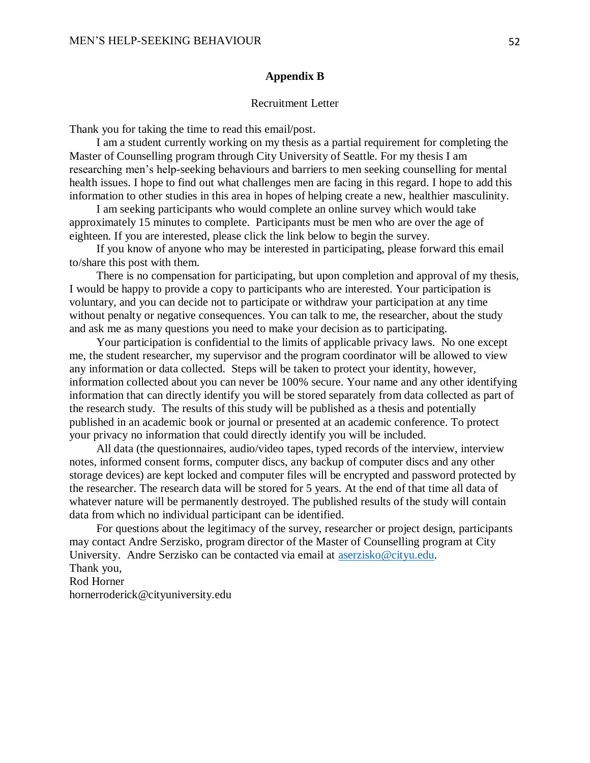#### **Appendix B**

#### Recruitment Letter

<span id="page-51-0"></span>Thank you for taking the time to read this email/post.

I am a student currently working on my thesis as a partial requirement for completing the Master of Counselling program through City University of Seattle. For my thesis I am researching men's help-seeking behaviours and barriers to men seeking counselling for mental health issues. I hope to find out what challenges men are facing in this regard. I hope to add this information to other studies in this area in hopes of helping create a new, healthier masculinity.

I am seeking participants who would complete an online survey which would take approximately 15 minutes to complete. Participants must be men who are over the age of eighteen. If you are interested, please click the link below to begin the survey.

If you know of anyone who may be interested in participating, please forward this email to/share this post with them.

There is no compensation for participating, but upon completion and approval of my thesis, I would be happy to provide a copy to participants who are interested. Your participation is voluntary, and you can decide not to participate or withdraw your participation at any time without penalty or negative consequences. You can talk to me, the researcher, about the study and ask me as many questions you need to make your decision as to participating.

Your participation is confidential to the limits of applicable privacy laws. No one except me, the student researcher, my supervisor and the program coordinator will be allowed to view any information or data collected. Steps will be taken to protect your identity, however, information collected about you can never be 100% secure. Your name and any other identifying information that can directly identify you will be stored separately from data collected as part of the research study. The results of this study will be published as a thesis and potentially published in an academic book or journal or presented at an academic conference. To protect your privacy no information that could directly identify you will be included.

All data (the questionnaires, audio/video tapes, typed records of the interview, interview notes, informed consent forms, computer discs, any backup of computer discs and any other storage devices) are kept locked and computer files will be encrypted and password protected by the researcher. The research data will be stored for 5 years. At the end of that time all data of whatever nature will be permanently destroyed. The published results of the study will contain data from which no individual participant can be identified.

For questions about the legitimacy of the survey, researcher or project design, participants may contact Andre Serzisko, program director of the Master of Counselling program at City University. Andre Serzisko can be contacted via email at [aserzisko@cityu.edu.](about:blank) Thank you,

Rod Horner

hornerroderick@cityuniversity.edu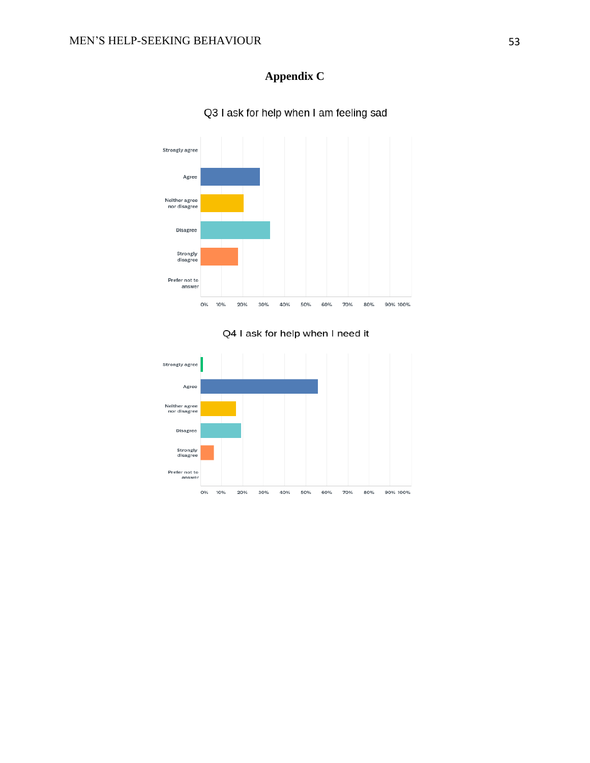# **Appendix C**

<span id="page-52-0"></span>

Q3 I ask for help when I am feeling sad



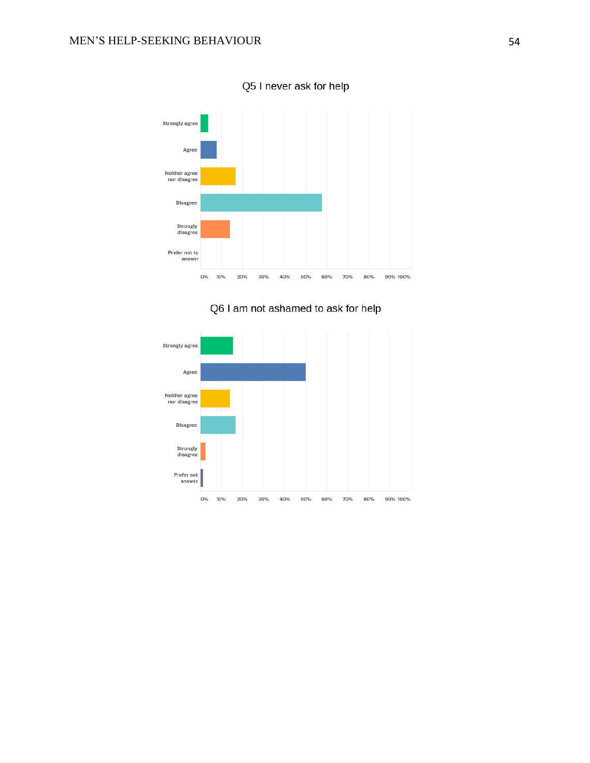

Q5 I never ask for help



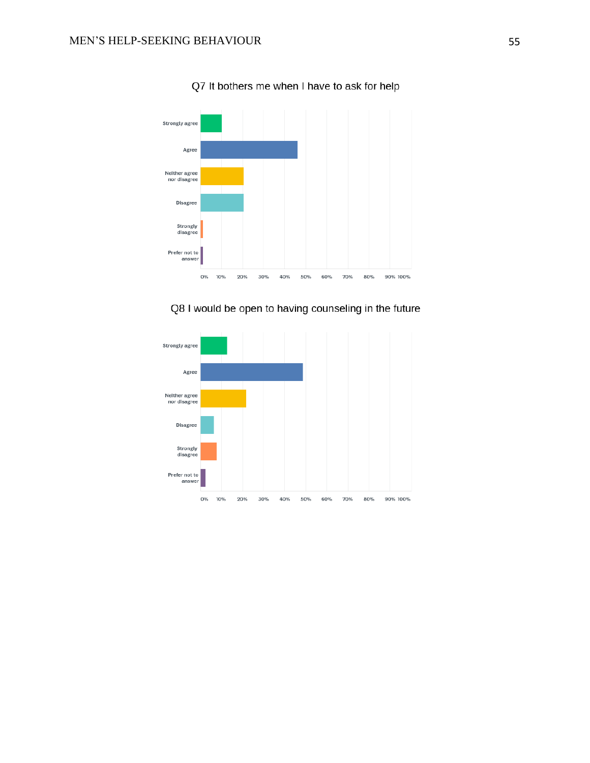

Q7 It bothers me when I have to ask for help

Q8 I would be open to having counseling in the future

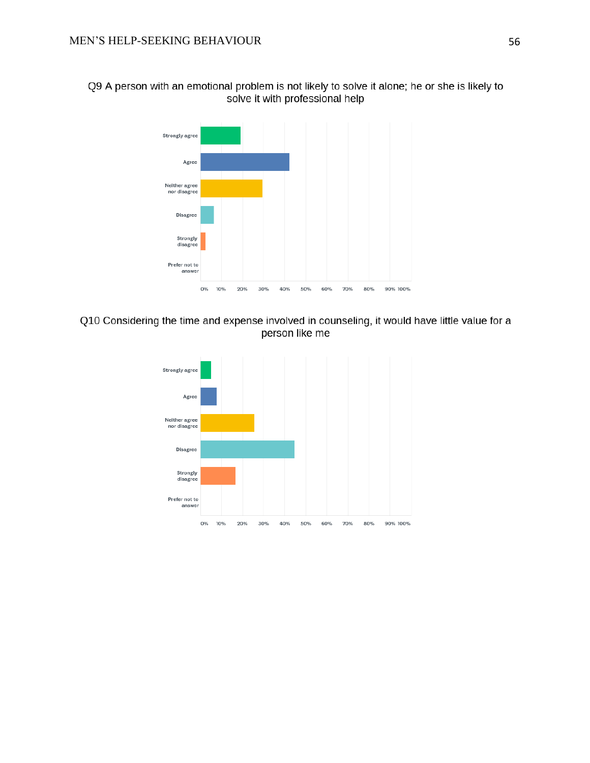Q9 A person with an emotional problem is not likely to solve it alone; he or she is likely to solve it with professional help



# Q10 Considering the time and expense involved in counseling, it would have little value for a person like me

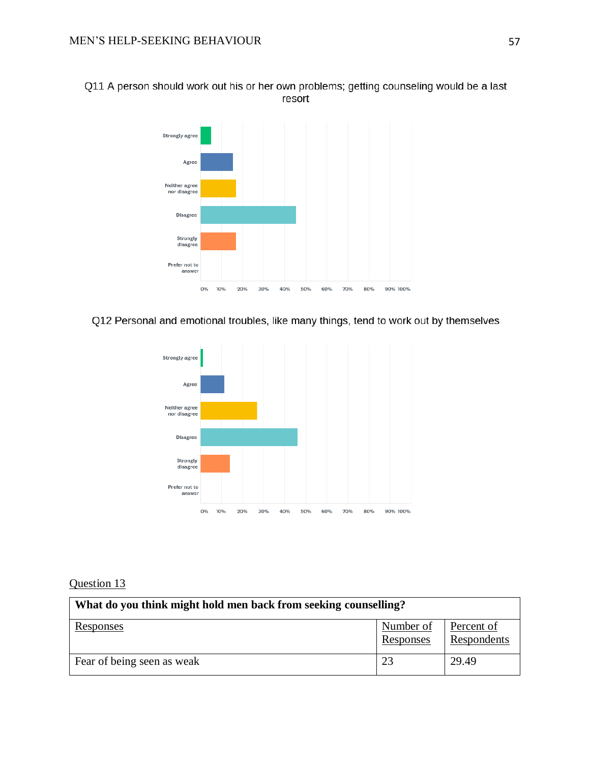Q11 A person should work out his or her own problems; getting counseling would be a last resort



Q12 Personal and emotional troubles, like many things, tend to work out by themselves



# Question 13

| What do you think might hold men back from seeking counselling? |                               |                           |
|-----------------------------------------------------------------|-------------------------------|---------------------------|
| <u>Responses</u>                                                | Number of<br><b>Responses</b> | Percent of<br>Respondents |
| Fear of being seen as weak                                      | 23                            | 29.49                     |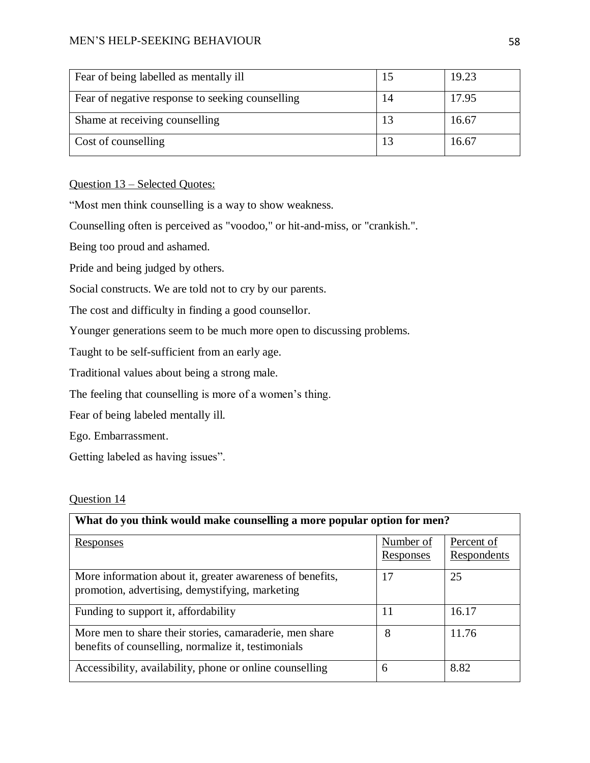# MEN'S HELP-SEEKING BEHAVIOUR 58

| Fear of being labelled as mentally ill           | 19.23 |
|--------------------------------------------------|-------|
| Fear of negative response to seeking counselling | 17.95 |
| Shame at receiving counselling                   | 16.67 |
| Cost of counselling                              | 16.67 |

Question 13 – Selected Quotes:

"Most men think counselling is a way to show weakness.

Counselling often is perceived as "voodoo," or hit-and-miss, or "crankish.".

Being too proud and ashamed.

Pride and being judged by others.

Social constructs. We are told not to cry by our parents.

The cost and difficulty in finding a good counsellor.

Younger generations seem to be much more open to discussing problems.

Taught to be self-sufficient from an early age.

Traditional values about being a strong male.

The feeling that counselling is more of a women's thing.

Fear of being labeled mentally ill.

Ego. Embarrassment.

Getting labeled as having issues".

# Question 14

| What do you think would make counselling a more popular option for men?                                        |                        |                           |  |
|----------------------------------------------------------------------------------------------------------------|------------------------|---------------------------|--|
| <u>Responses</u>                                                                                               | Number of<br>Responses | Percent of<br>Respondents |  |
| More information about it, greater awareness of benefits,<br>promotion, advertising, demystifying, marketing   | 17                     | 25                        |  |
| Funding to support it, affordability                                                                           | 11                     | 16.17                     |  |
| More men to share their stories, camaraderie, men share<br>benefits of counselling, normalize it, testimonials | 8                      | 11.76                     |  |
| Accessibility, availability, phone or online counselling                                                       | 6                      | 8.82                      |  |